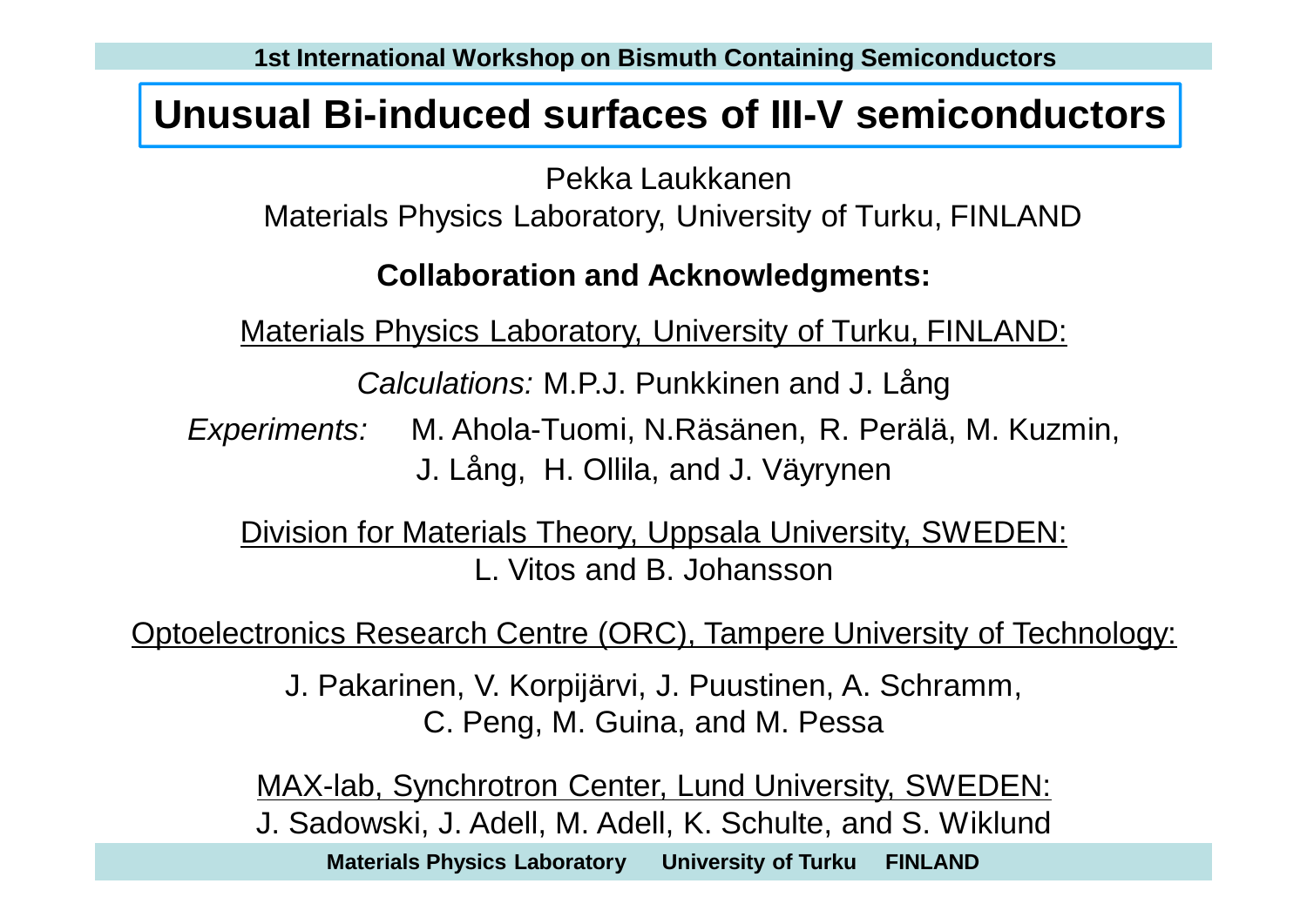#### **Unusual Bi-induced surfaces of III-V semiconductors**

Pekka Laukkanen Materials Physics Laboratory, University of Turku, FINLAND

#### **Collaboration and Acknowledgments:**

Materials Physics Laboratory, University of Turku, FINLAND:

*Calculations:* M.P.J. Punkkinen and J. Lång

*Experiments:* M. Ahola-Tuomi, N.Räsänen, R. Perälä, M. Kuzmin, J. Lång, H. Ollila, and J. Väyrynen

Division for Materials Theory, Uppsala University, SWEDEN: L. Vitos and B. Johansson

Optoelectronics Research Centre (ORC), Tampere University of Technology:

J. Pakarinen, V. Korpijärvi, J. Puustinen, A. Schramm, C. Peng, M. Guina, and M. Pessa

MAX-lab, Synchrotron Center, Lund University, SWEDEN: J. Sadowski, J. Adell, M. Adell, K. Schulte, and S. Wiklund

**Materials Physics Laboratory University of Turku FINLAND**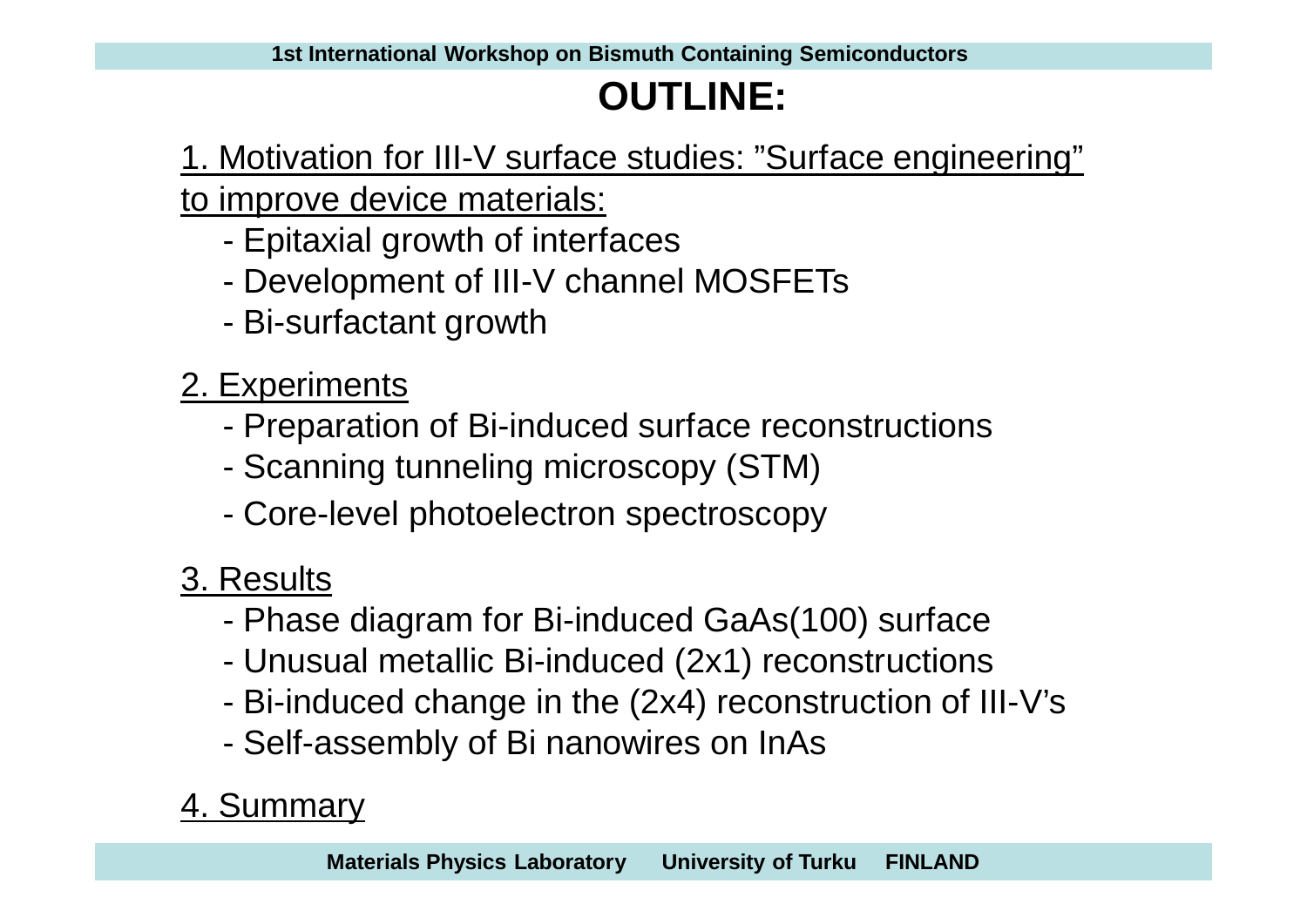# **OUTLINE:**

1. Motivation for III-V surface studies: "Surface engineering" to improve device materials:

- Epitaxial growth of interfaces
- Development of III-V channel MOSFETs
- Bi-surfactant growth
- 2. Experiments
	- Preparation of Bi-induced surface reconstructions
	- Scanning tunneling microscopy (STM)
	- Core-level photoelectron spectroscopy

# 3. Results

- Phase diagram for Bi-induced GaAs(100) surface
- Unusual metallic Bi-induced (2x1) reconstructions
- Bi-induced change in the (2x4) reconstruction of III-V's
- Self-assembly of Bi nanowires on InAs

# 4. Summary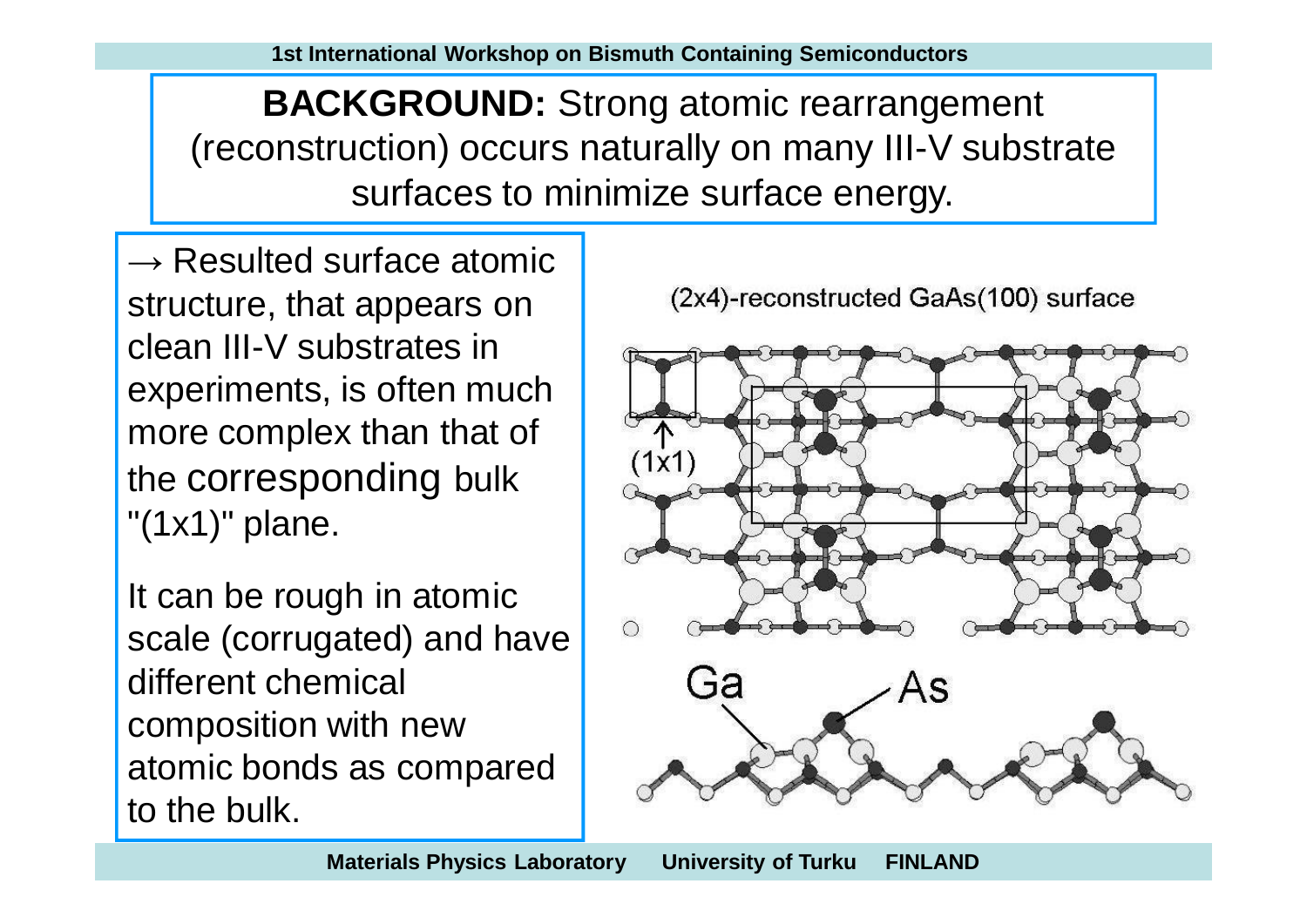**BACKGROUND:** Strong atomic rearrangement (reconstruction) occurs naturally on many III-V substrate surfaces to minimize surface energy.

 $\rightarrow$  Resulted surface atomic structure, that appears on clean III-V substrates in experiments, is often much more complex than that of the corresponding bulk "(1x1)" plane.

It can be rough in atomic scale (corrugated) and have different chemical composition with new atomic bonds as compared to the bulk.



(2x4)-reconstructed GaAs(100) surface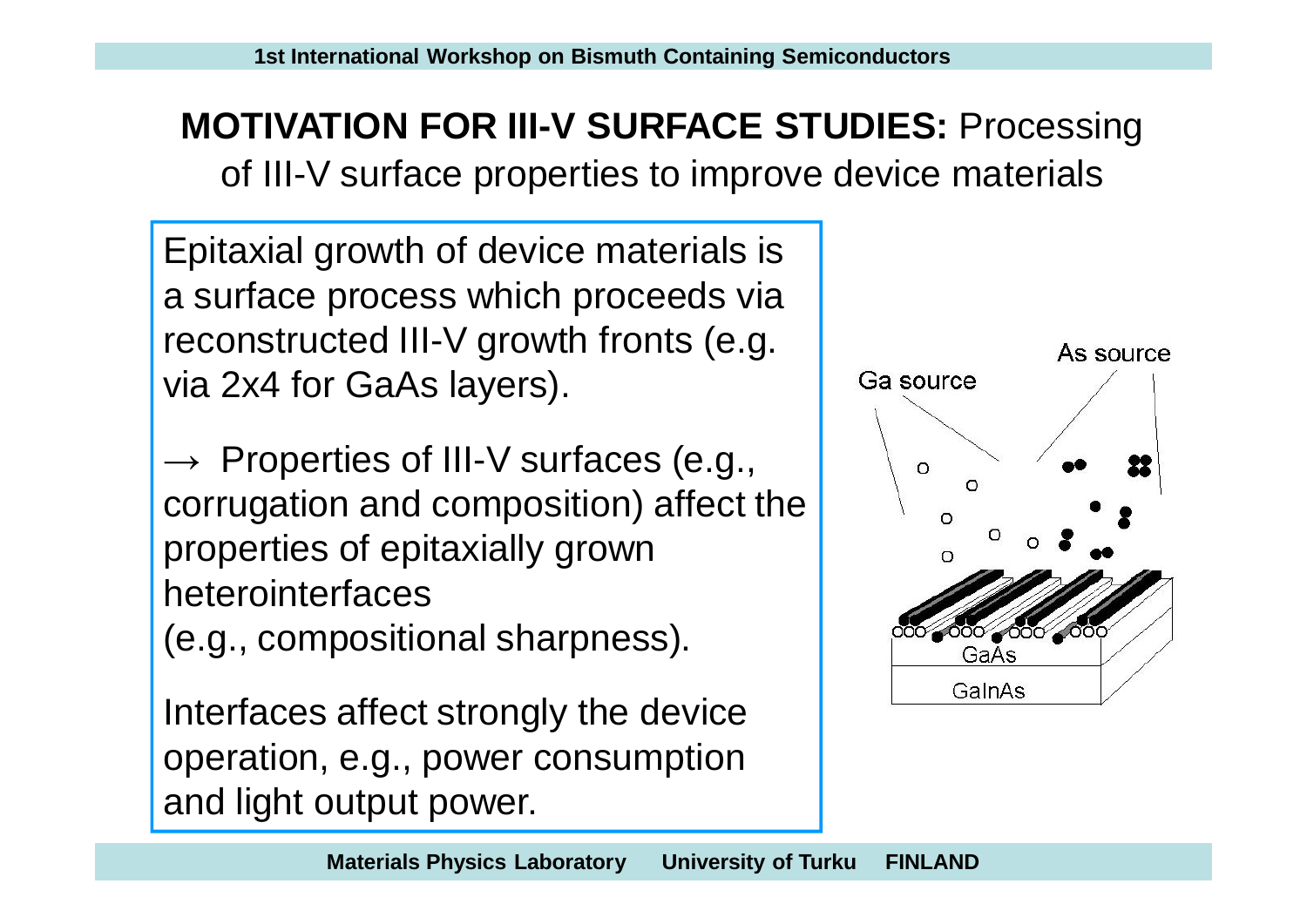**MOTIVATION FOR III-V SURFACE STUDIES:** Processing of III-V surface properties to improve device materials

Epitaxial growth of device materials is a surface process which proceeds via reconstructed III-V growth fronts (e.g. via 2x4 for GaAs layers).

 $\rightarrow$  Properties of III-V surfaces (e.g., corrugation and composition) affect the properties of epitaxially grown heterointerfaces

(e.g., compositional sharpness).

Interfaces affect strongly the device operation, e.g., power consumption and light output power.

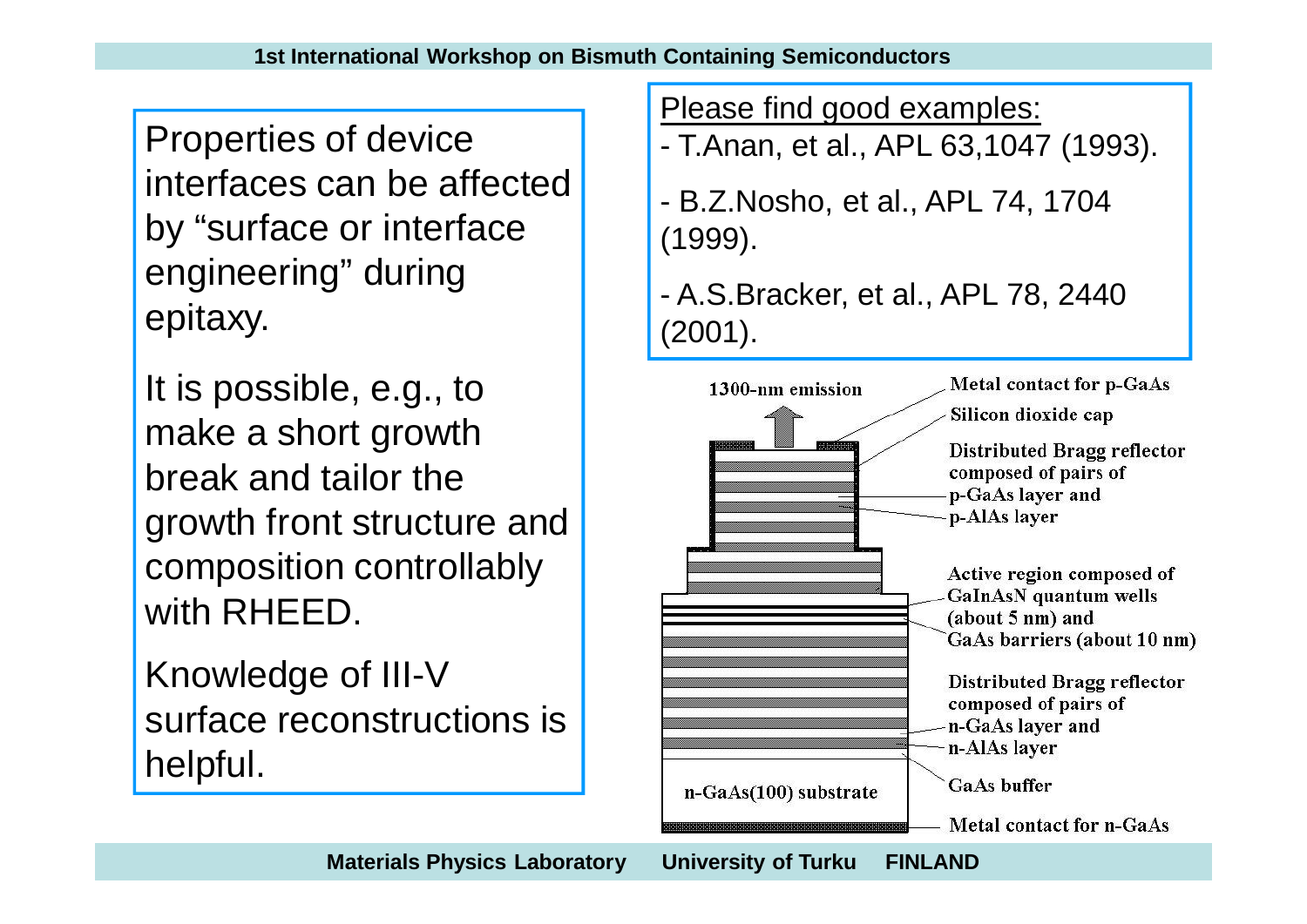Properties of device interfaces can be affected by "surface or interface engineering" during epitaxy.

It is possible, e.g., to make a short growth break and tailor the growth front structure and composition controllably with RHEED.

Knowledge of III-V surface reconstructions is helpful.

Please find good examples:

- T.Anan, et al., APL 63,1047 (1993).
- B.Z.Nosho, et al., APL 74, 1704 (1999).
- A.S.Bracker, et al., APL 78, 2440 (2001).

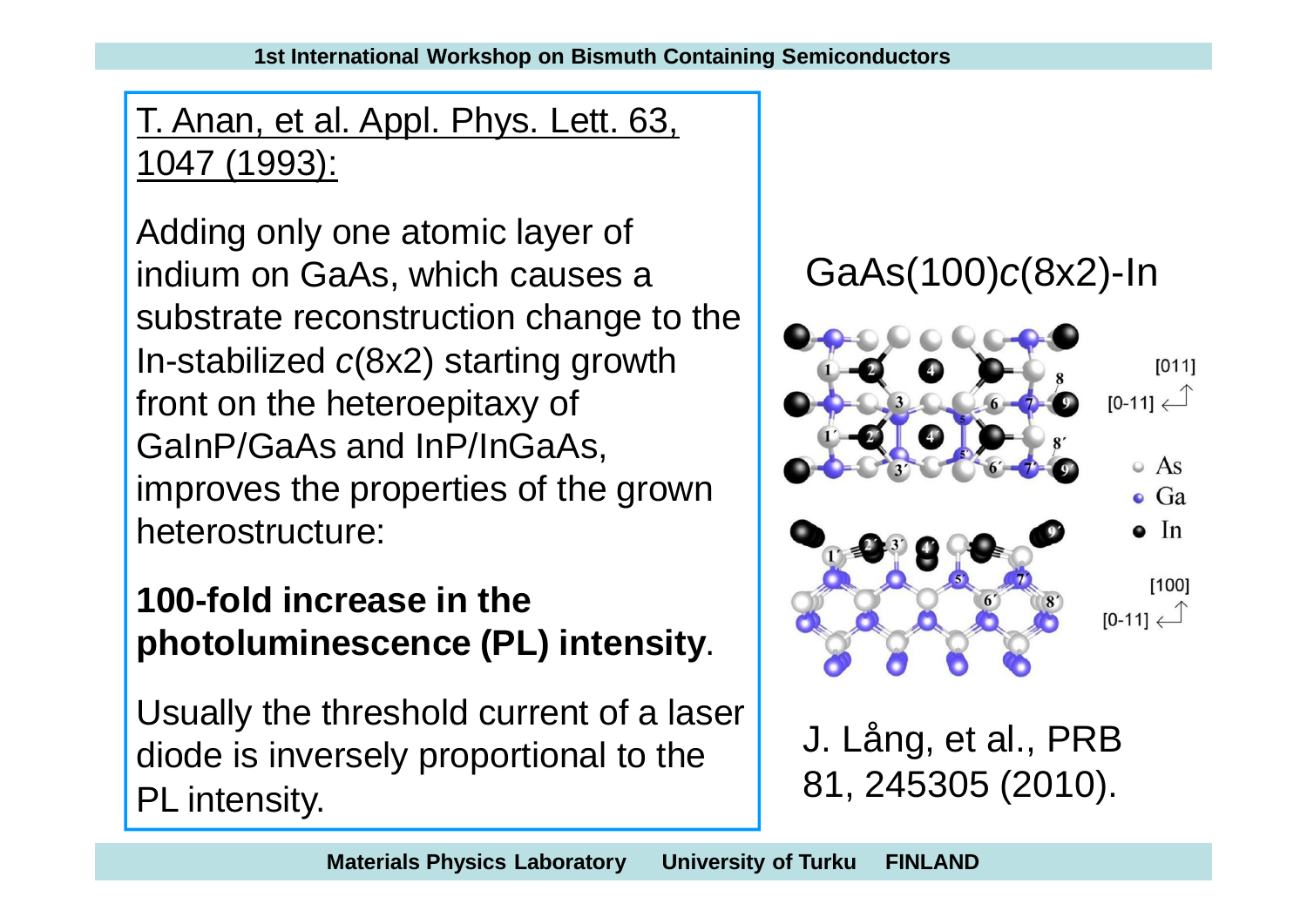T. Anan, et al. Appl. Phys. Lett. 63, 1047 (1993):

Adding only one atomic layer of indium on GaAs, which causes a substrate reconstruction change to the In-stabilized *c*(8x2) starting growth front on the heteroepitaxy of GaInP/GaAs and InP/InGaAs, improves the properties of the grown heterostructure:

#### **100-fold increase in the photoluminescence (PL) intensity**.

Usually the threshold current of a laser diode is inversely proportional to the PL intensity.

GaAs(100)*c*(8x2)-In



J. Lång, et al., PRB 81, 245305 (2010).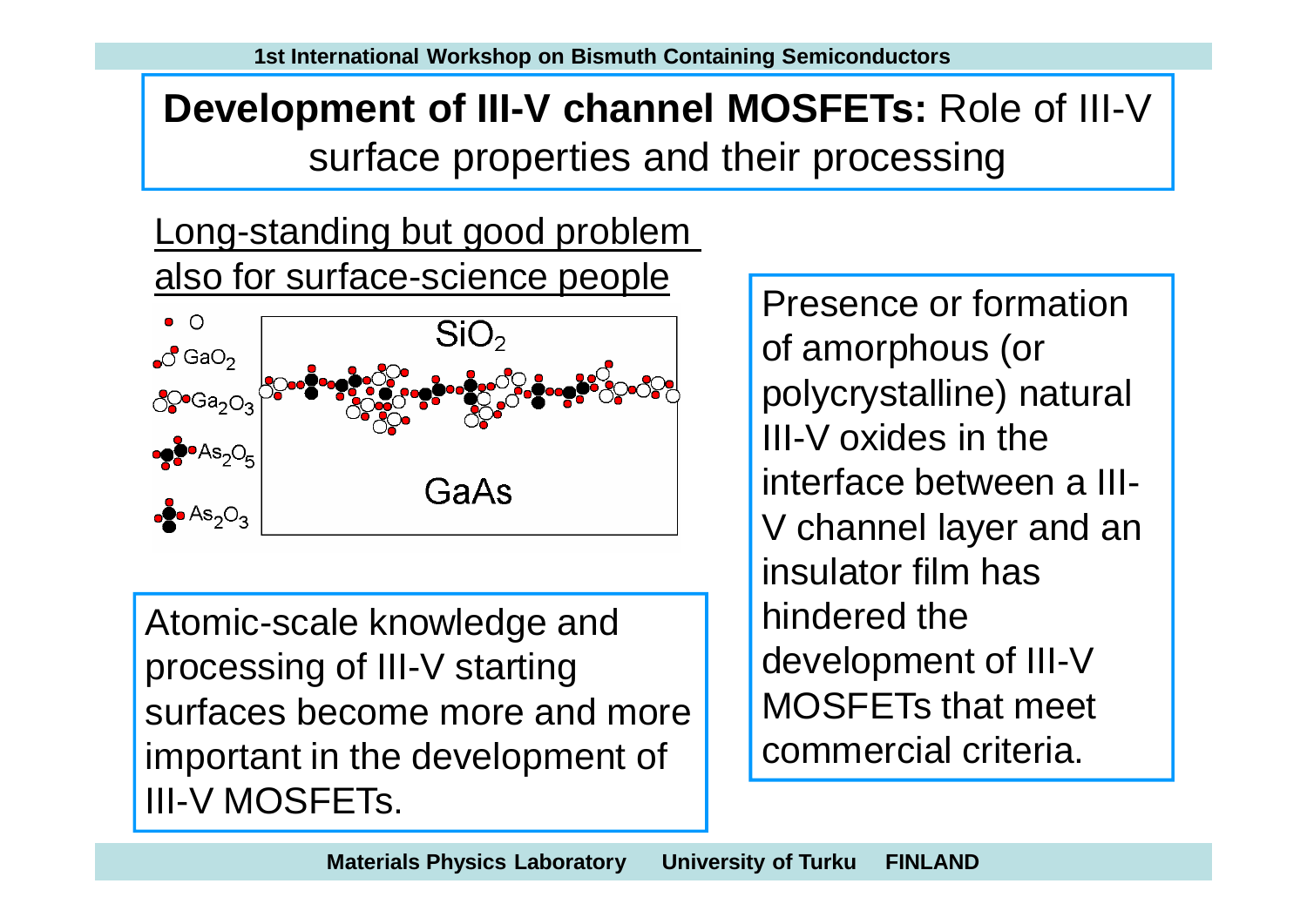# **Development of III-V channel MOSFETs:** Role of III-V surface properties and their processing

Long-standing but good problem also for surface-science people



Atomic-scale knowledge and processing of III-V starting surfaces become more and more important in the development of III-V MOSFETs.

Presence or formation of amorphous (or polycrystalline) natural III-V oxides in the interface between a III-V channel layer and an insulator film has hindered the development of III-V MOSFETs that meet commercial criteria.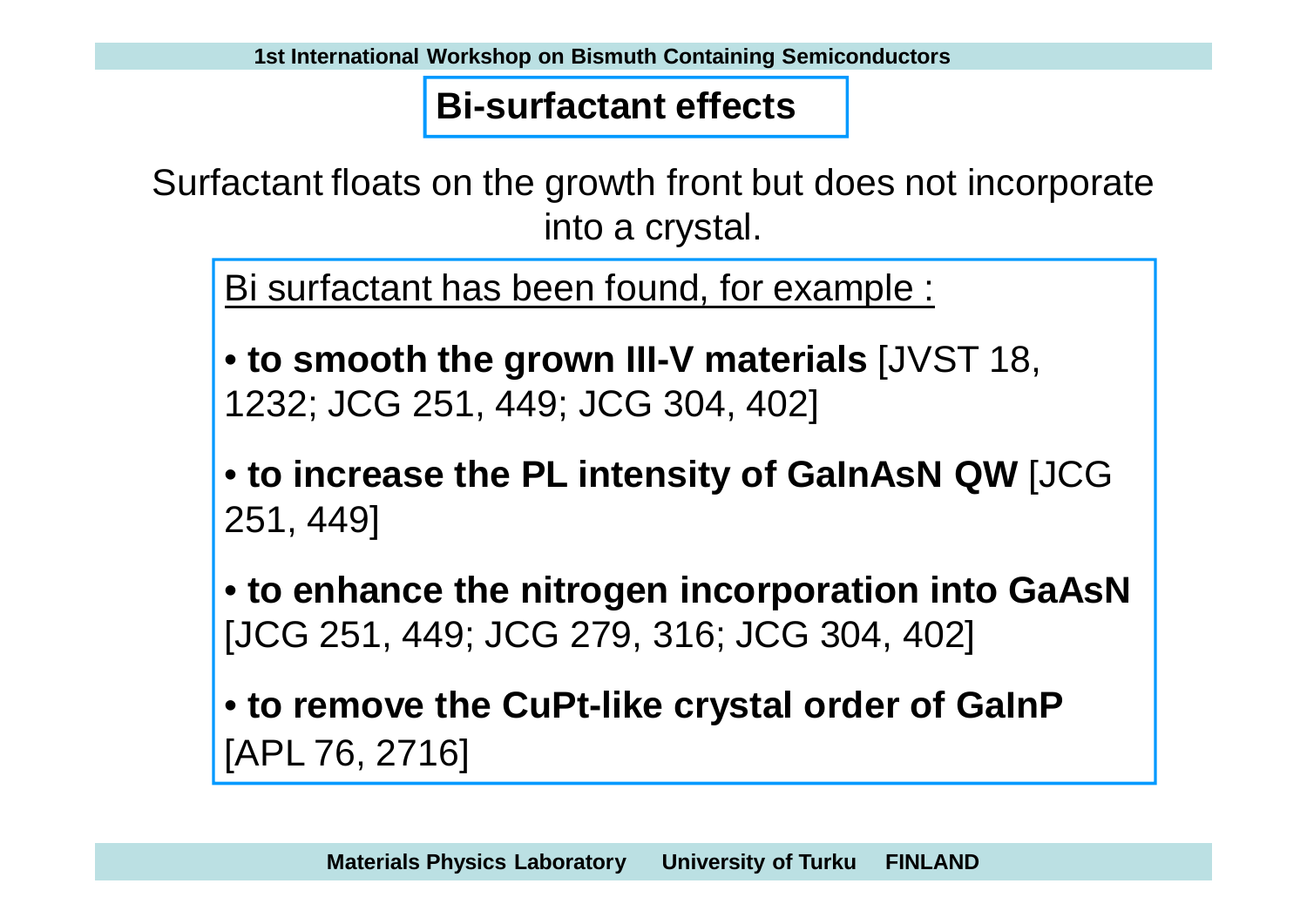#### **Bi-surfactant effects**

Surfactant floats on the growth front but does not incorporate into a crystal.

Bi surfactant has been found, for example :

- **to smooth the grown III-V materials** [JVST 18, 1232; JCG 251, 449; JCG 304, 402]
- **to increase the PL intensity of GaInAsN QW** [JCG 251, 449]

• **to enhance the nitrogen incorporation into GaAsN** [JCG 251, 449; JCG 279, 316; JCG 304, 402]

• **to remove the CuPt-like crystal order of GaInP** [APL 76, 2716]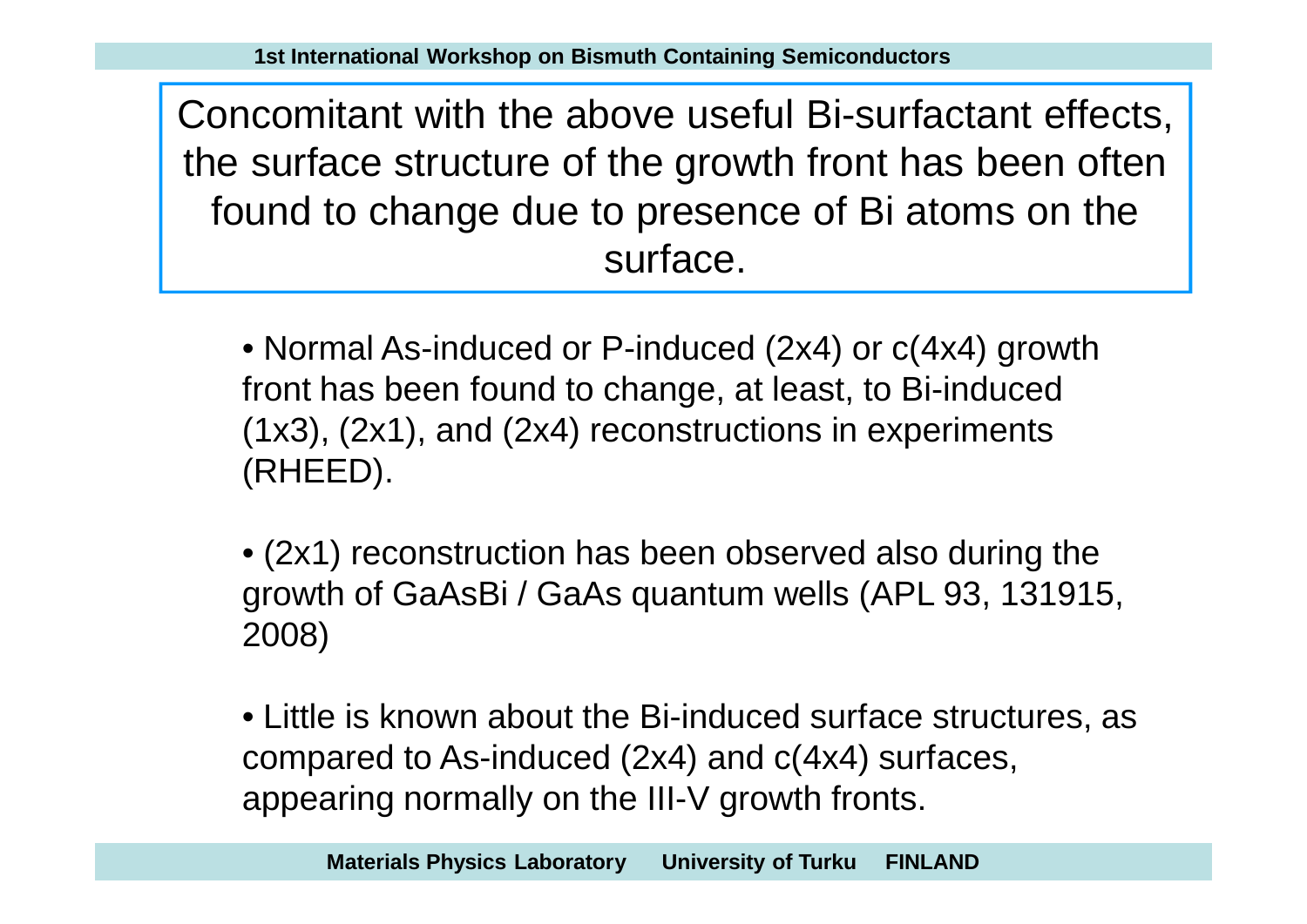Concomitant with the above useful Bi-surfactant effects, the surface structure of the growth front has been often found to change due to presence of Bi atoms on the surface.

- Normal As-induced or P-induced (2x4) or  $c(4x4)$  growth front has been found to change, at least, to Bi-induced (1x3), (2x1), and (2x4) reconstructions in experiments (RHEED).
- (2x1) reconstruction has been observed also during the growth of GaAsBi / GaAs quantum wells (APL 93, 131915, 2008)

• Little is known about the Bi-induced surface structures, as compared to As-induced (2x4) and c(4x4) surfaces, appearing normally on the III-V growth fronts.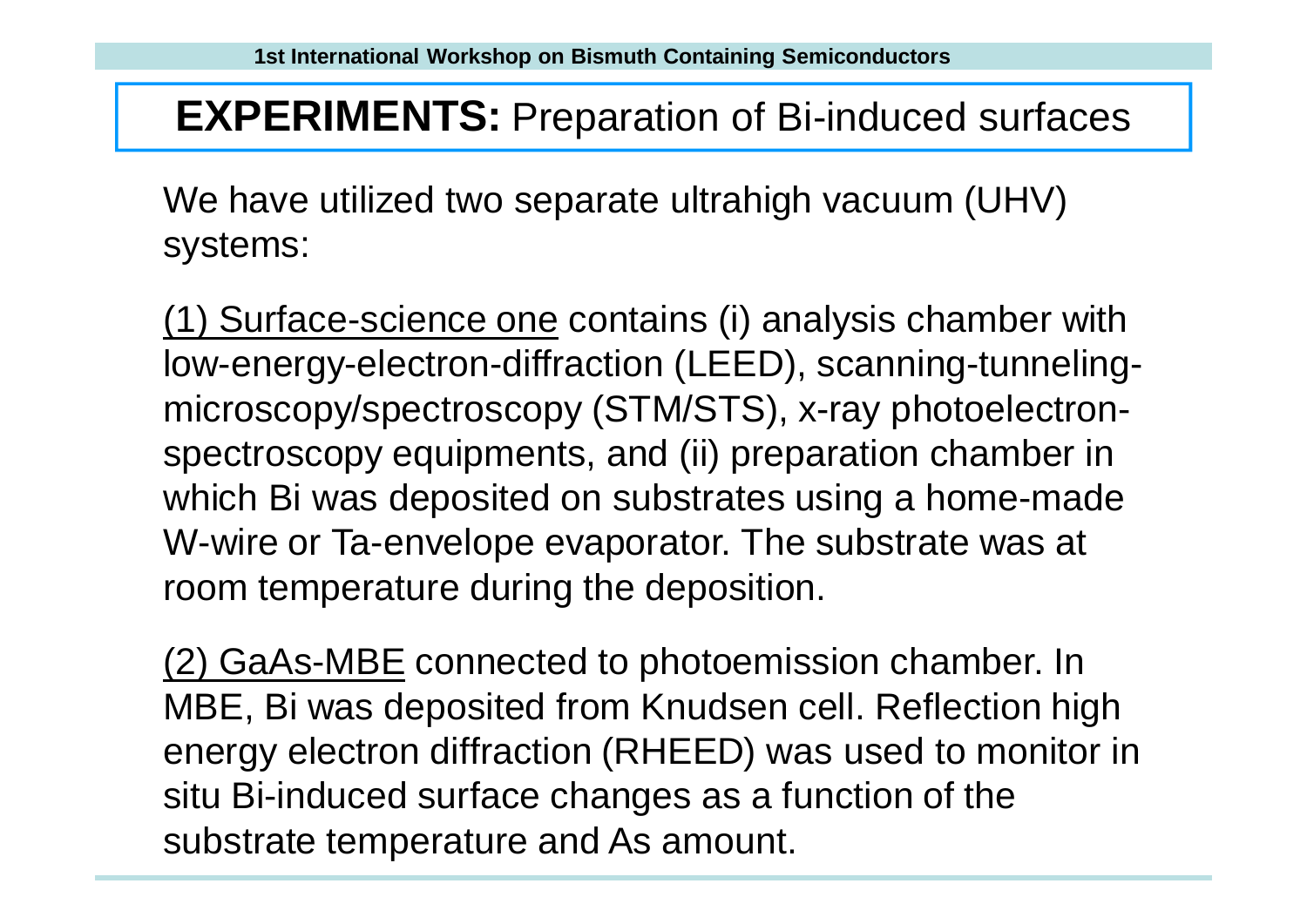#### **EXPERIMENTS:** Preparation of Bi-induced surfaces

We have utilized two separate ultrahigh vacuum (UHV) systems:

(1) Surface-science one contains (i) analysis chamber with low-energy-electron-diffraction (LEED), scanning-tunnelingmicroscopy/spectroscopy (STM/STS), x-ray photoelectronspectroscopy equipments, and (ii) preparation chamber in which Bi was deposited on substrates using a home-made W-wire or Ta-envelope evaporator. The substrate was at room temperature during the deposition.

(2) GaAs-MBE connected to photoemission chamber. In MBE, Bi was deposited from Knudsen cell. Reflection high energy electron diffraction (RHEED) was used to monitor in situ Bi-induced surface changes as a function of the substrate temperature and As amount.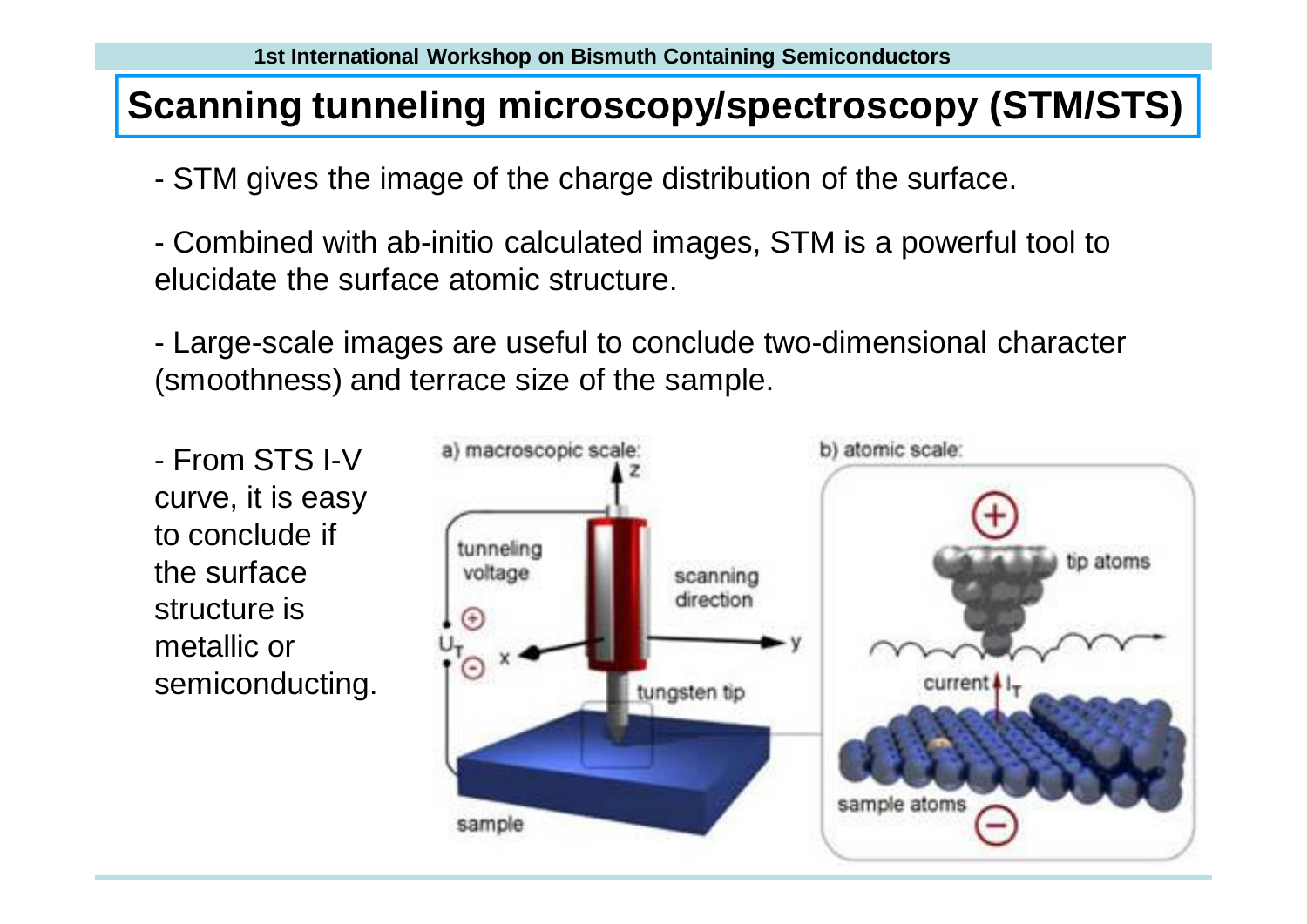#### **Scanning tunneling microscopy/spectroscopy (STM/STS)**

- STM gives the image of the charge distribution of the surface.
- Combined with ab-initio calculated images, STM is a powerful tool to elucidate the surface atomic structure.

- Large-scale images are useful to conclude two-dimensional character (smoothness) and terrace size of the sample.

- From STS I-V curve, it is easy to conclude if the surface structure is metallic or semiconducting.

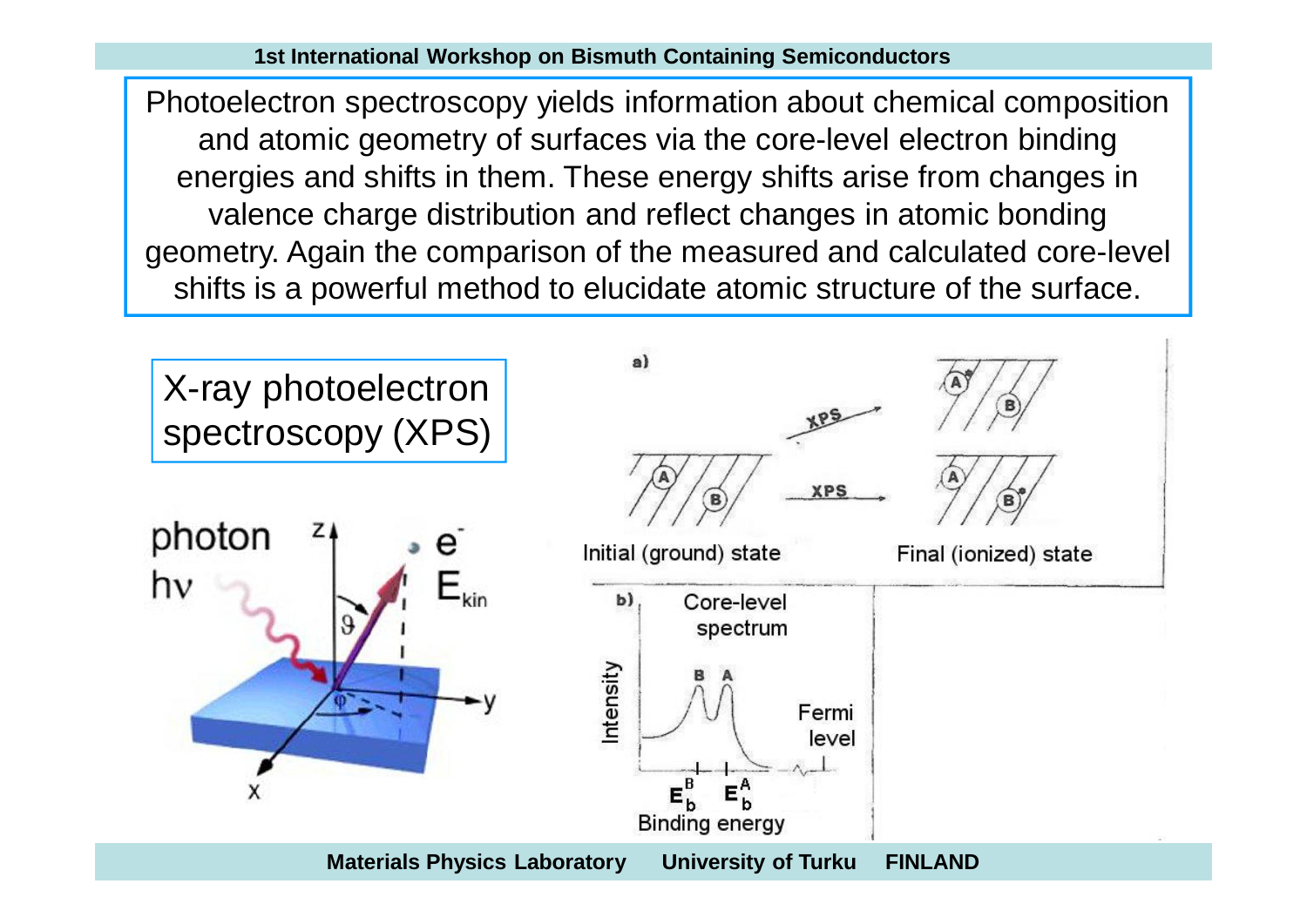Photoelectron spectroscopy yields information about chemical composition and atomic geometry of surfaces via the core-level electron binding energies and shifts in them. These energy shifts arise from changes in valence charge distribution and reflect changes in atomic bonding geometry. Again the comparison of the measured and calculated core-level shifts is a powerful method to elucidate atomic structure of the surface.

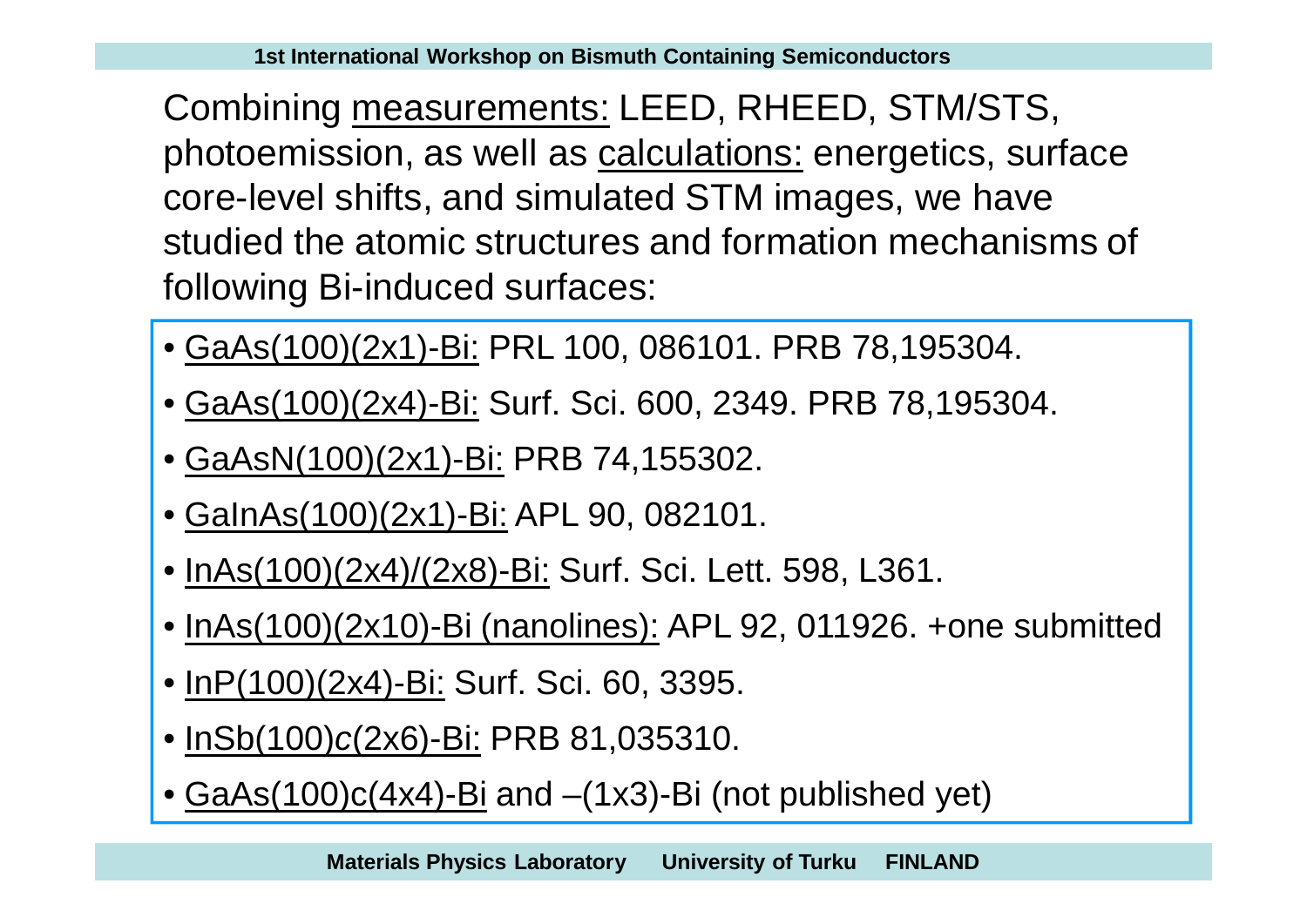Combining measurements: LEED, RHEED, STM/STS, photoemission, as well as calculations: energetics, surface core-level shifts, and simulated STM images, we have studied the atomic structures and formation mechanisms of following Bi-induced surfaces:

- GaAs(100)(2x1)-Bi: PRL 100, 086101. PRB 78,195304.
- GaAs(100)(2x4)-Bi: Surf. Sci. 600, 2349. PRB 78,195304.
- GaAsN(100)(2x1)-Bi: PRB 74,155302.
- GaInAs(100)(2x1)-Bi: APL 90, 082101.
- InAs(100)(2x4)/(2x8)-Bi: Surf. Sci. Lett. 598, L361.
- InAs(100)(2x10)-Bi (nanolines): APL 92, 011926. +one submitted
- InP(100)(2x4)-Bi: Surf. Sci. 60, 3395.
- InSb(100)*c*(2x6)-Bi: PRB 81,035310.
- GaAs(100)c(4x4)-Bi and –(1x3)-Bi (not published yet)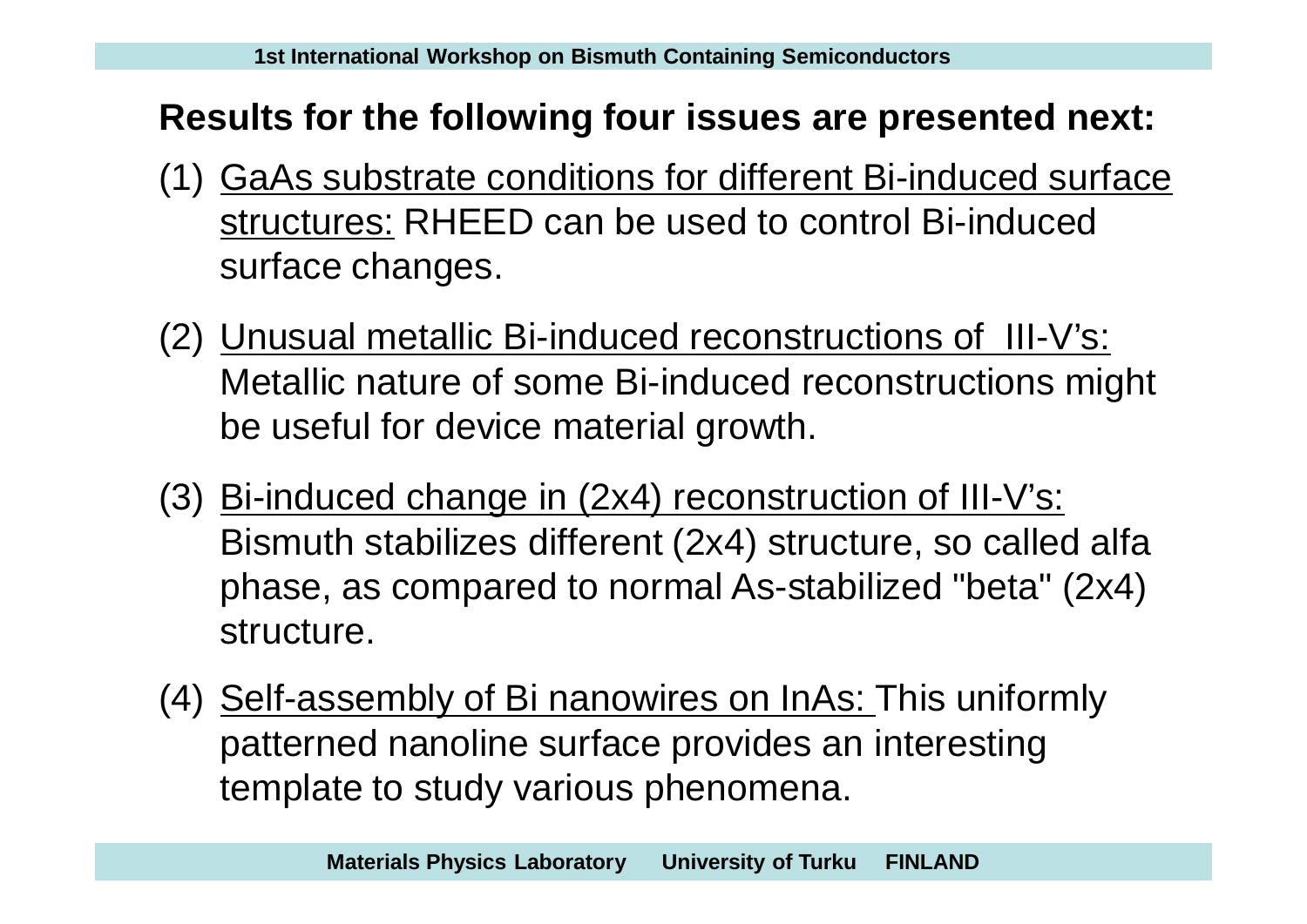#### **Results for the following four issues are presented next:**

- (1) GaAs substrate conditions for different Bi-induced surface structures: RHEED can be used to control Bi-induced surface changes.
- (2) Unusual metallic Bi-induced reconstructions of III-V's: Metallic nature of some Bi-induced reconstructions might be useful for device material growth.
- (3) Bi-induced change in (2x4) reconstruction of III-V's: Bismuth stabilizes different (2x4) structure, so called alfa phase, as compared to normal As-stabilized "beta" (2x4) structure.
- (4) Self-assembly of Bi nanowires on InAs: This uniformly patterned nanoline surface provides an interesting template to study various phenomena.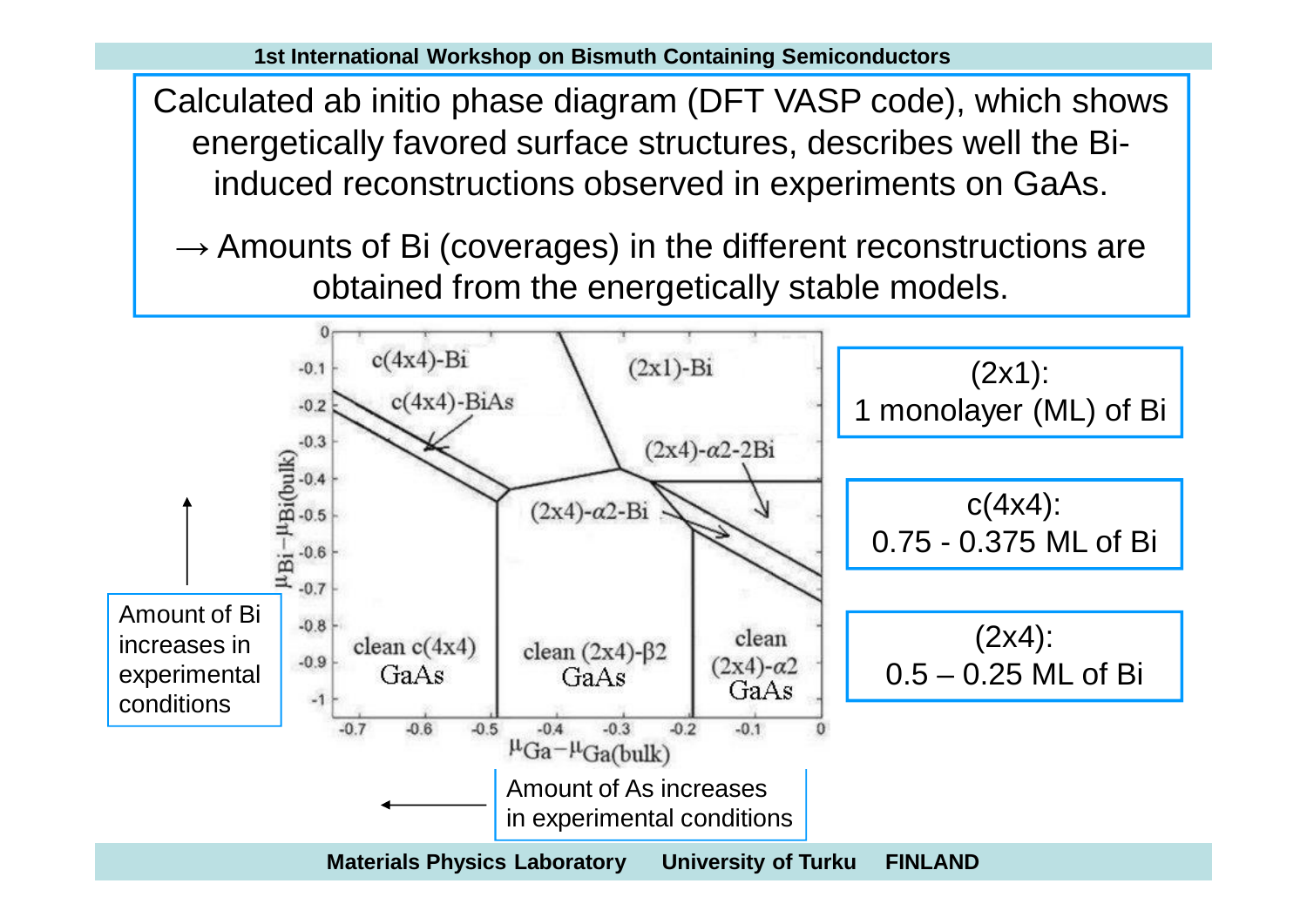Calculated ab initio phase diagram (DFT VASP code), which shows energetically favored surface structures, describes well the Biinduced reconstructions observed in experiments on GaAs.

 $\rightarrow$  Amounts of Bi (coverages) in the different reconstructions are obtained from the energetically stable models.

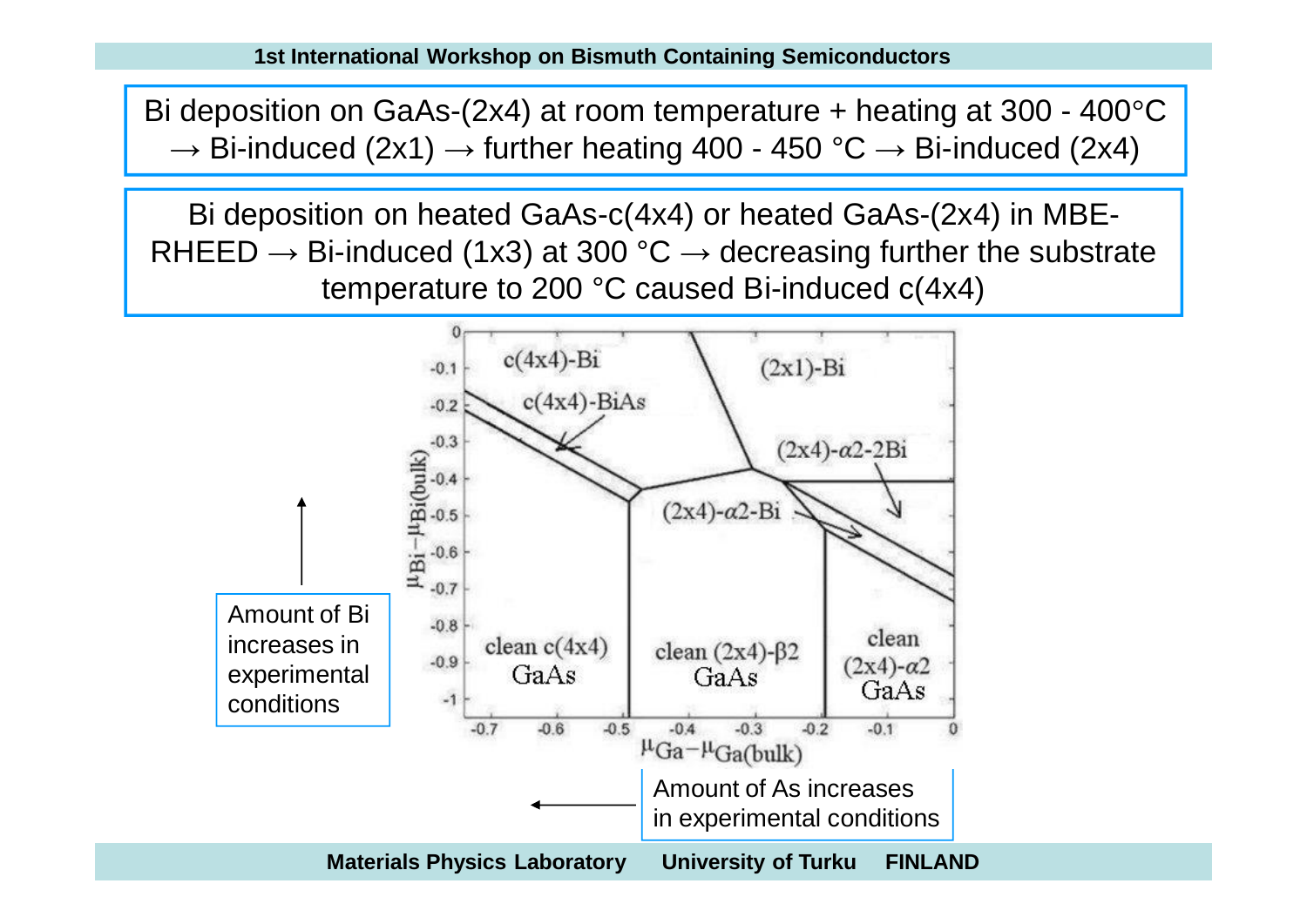Bi deposition on GaAs-(2x4) at room temperature + heating at 300 - 400°C  $\rightarrow$  Bi-induced (2x1)  $\rightarrow$  further heating 400 - 450 °C  $\rightarrow$  Bi-induced (2x4)

Bi deposition on heated GaAs-c(4x4) or heated GaAs-(2x4) in MBE-RHEED  $\rightarrow$  Bi-induced (1x3) at 300 °C  $\rightarrow$  decreasing further the substrate temperature to 200 °C caused Bi-induced c(4x4)

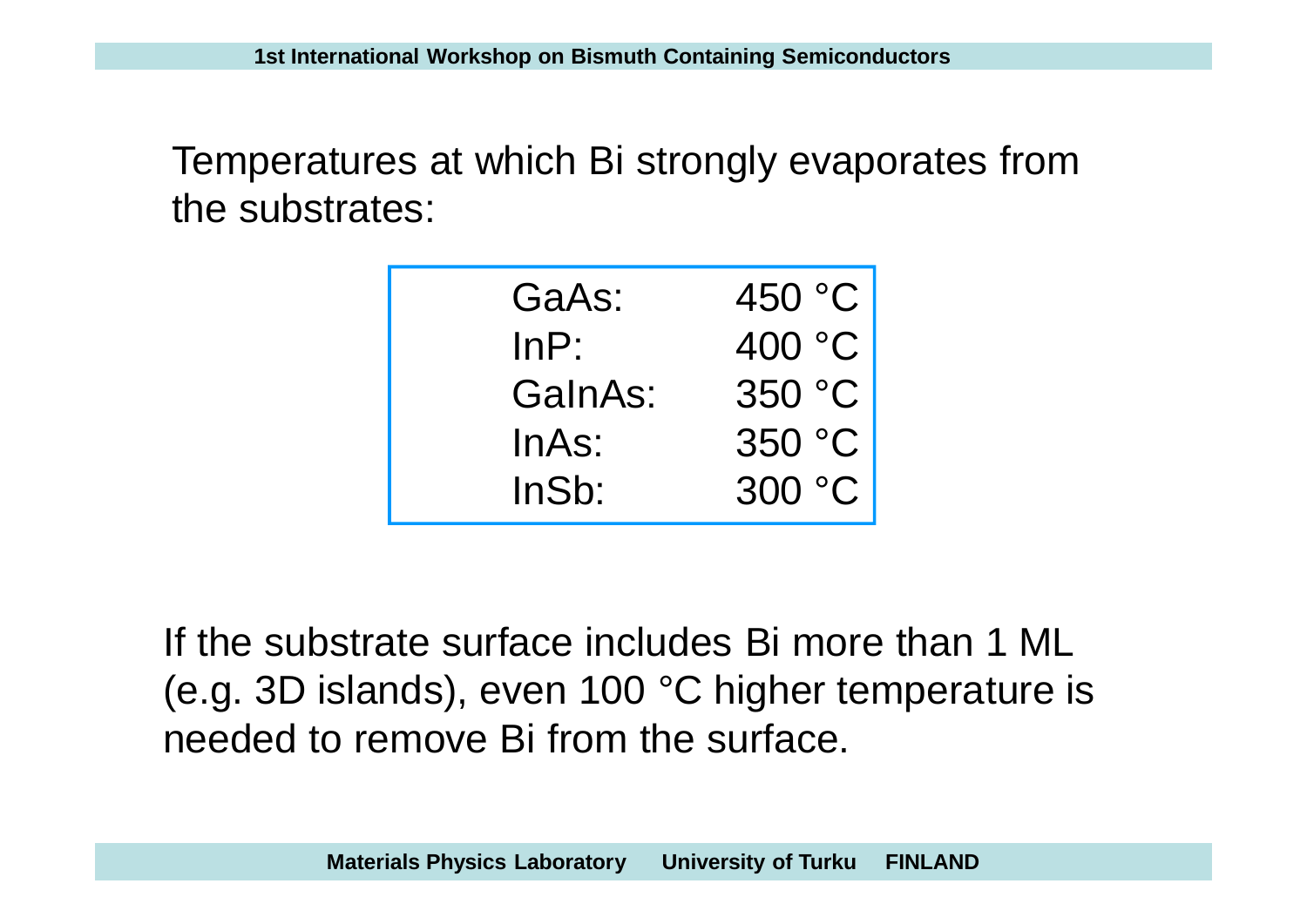Temperatures at which Bi strongly evaporates from the substrates:

| GaAs:   | 450 °C |
|---------|--------|
| InP:    | 400 °C |
| GalnAs: | 350 °C |
| InAs:   | 350 °C |
| InSb:   | 300 °C |

If the substrate surface includes Bi more than 1 ML (e.g. 3D islands), even 100 °C higher temperature is needed to remove Bi from the surface.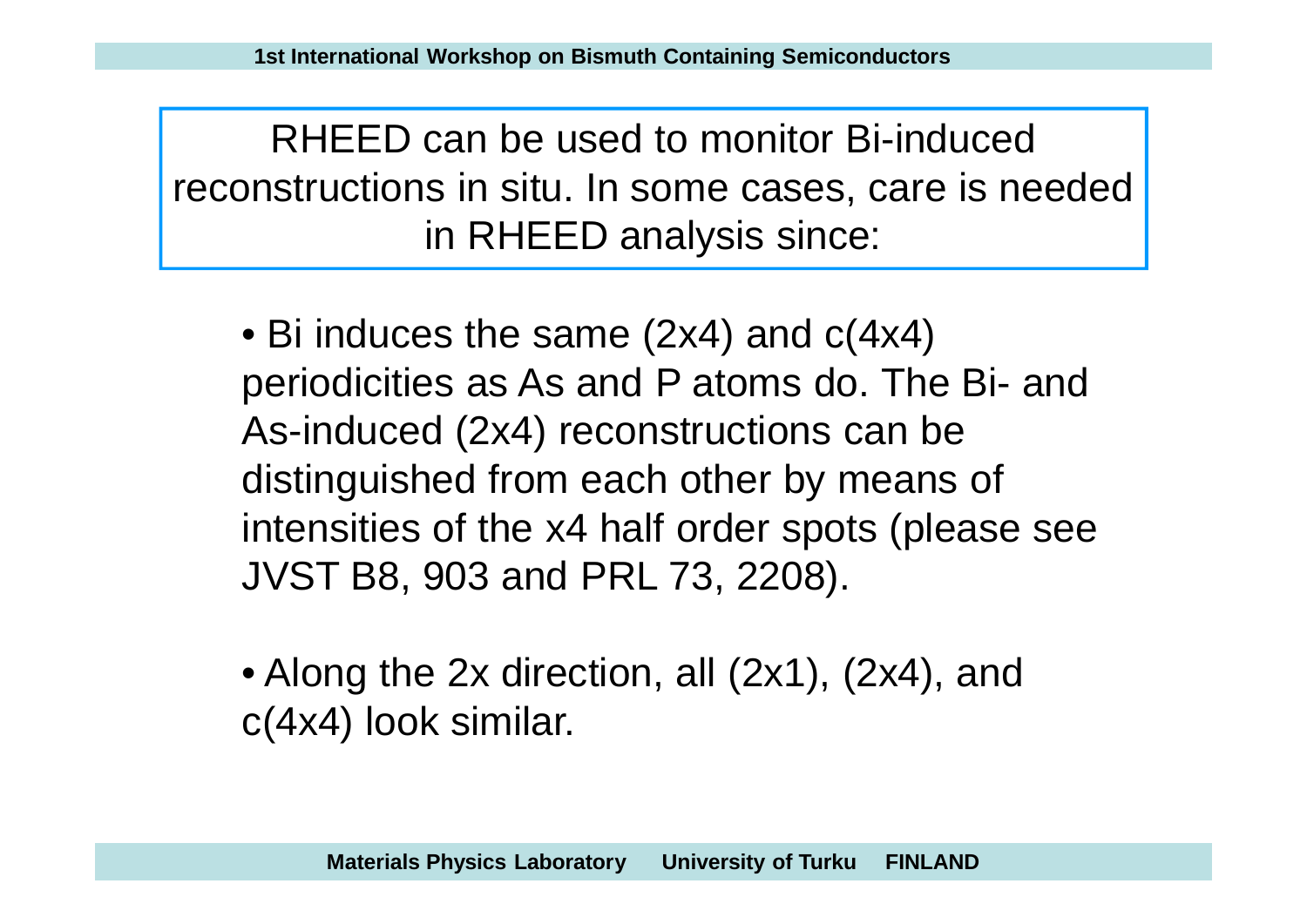RHEED can be used to monitor Bi-induced reconstructions in situ. In some cases, care is needed in RHEED analysis since:

• Bi induces the same (2x4) and  $c(4x4)$ periodicities as As and P atoms do. The Bi- and As-induced (2x4) reconstructions can be distinguished from each other by means of intensities of the x4 half order spots (please see JVST B8, 903 and PRL 73, 2208).

• Along the 2x direction, all (2x1), (2x4), and c(4x4) look similar.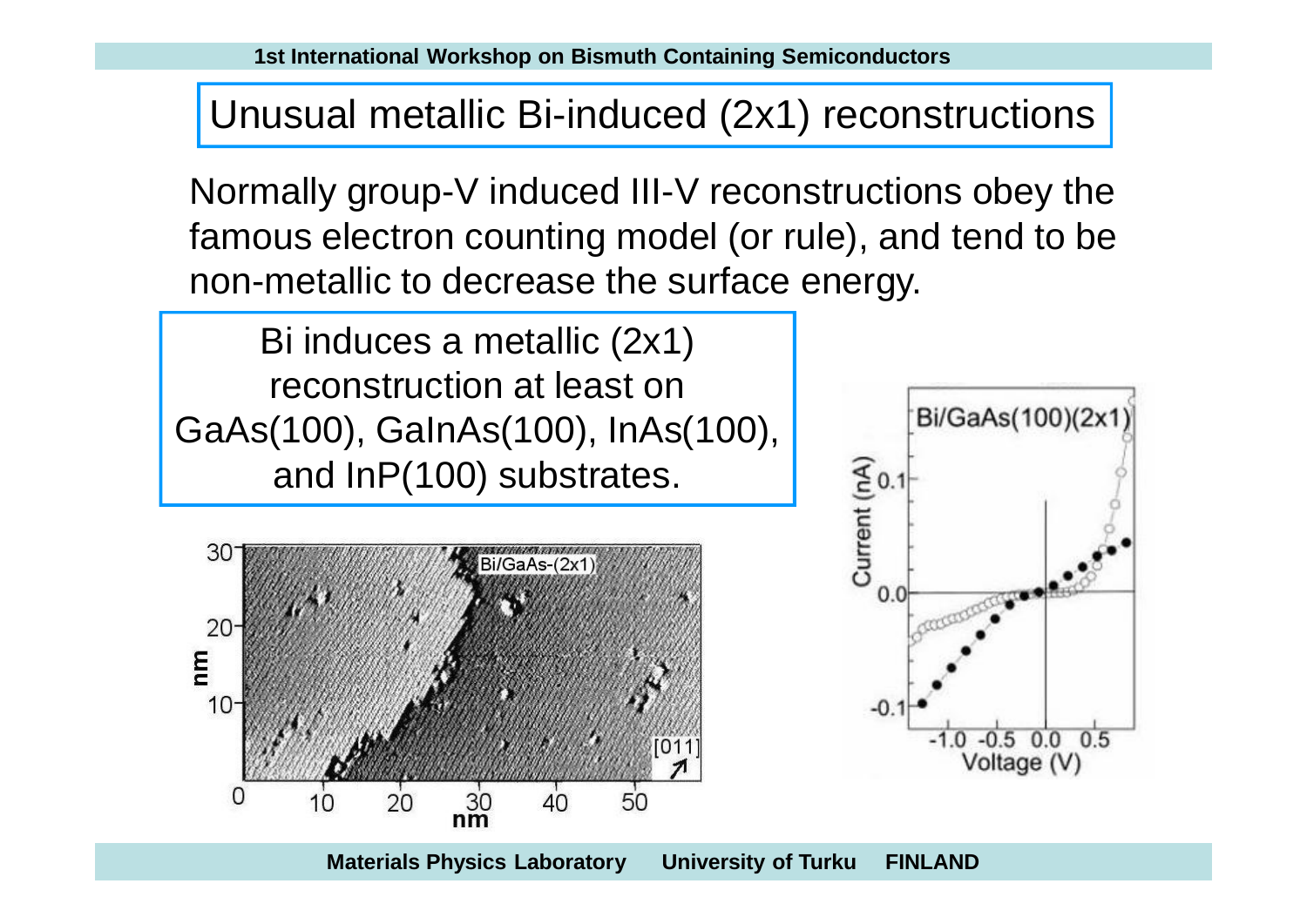Unusual metallic Bi-induced (2x1) reconstructions

Normally group-V induced III-V reconstructions obey the famous electron counting model (or rule), and tend to be non-metallic to decrease the surface energy.

Bi/GaAs(100)(2x1

Bi induces a metallic (2x1) reconstruction at least on GaAs(100), GaInAs(100), InAs(100), and InP(100) substrates.

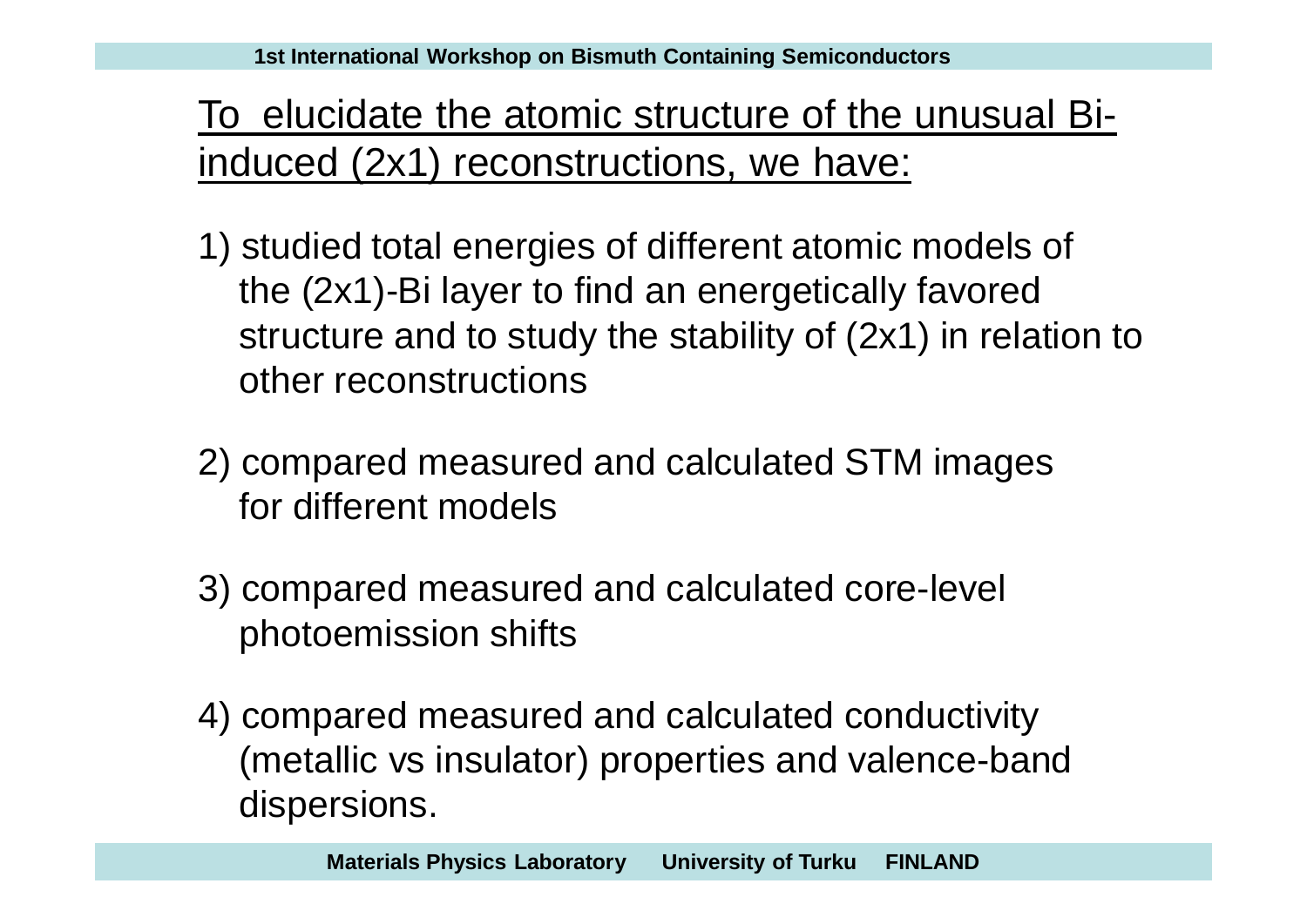# To elucidate the atomic structure of the unusual Biinduced (2x1) reconstructions, we have:

- 1) studied total energies of different atomic models of the (2x1)-Bi layer to find an energetically favored structure and to study the stability of (2x1) in relation to other reconstructions
- 2) compared measured and calculated STM images for different models
- 3) compared measured and calculated core-level photoemission shifts
- 4) compared measured and calculated conductivity (metallic vs insulator) properties and valence-band dispersions.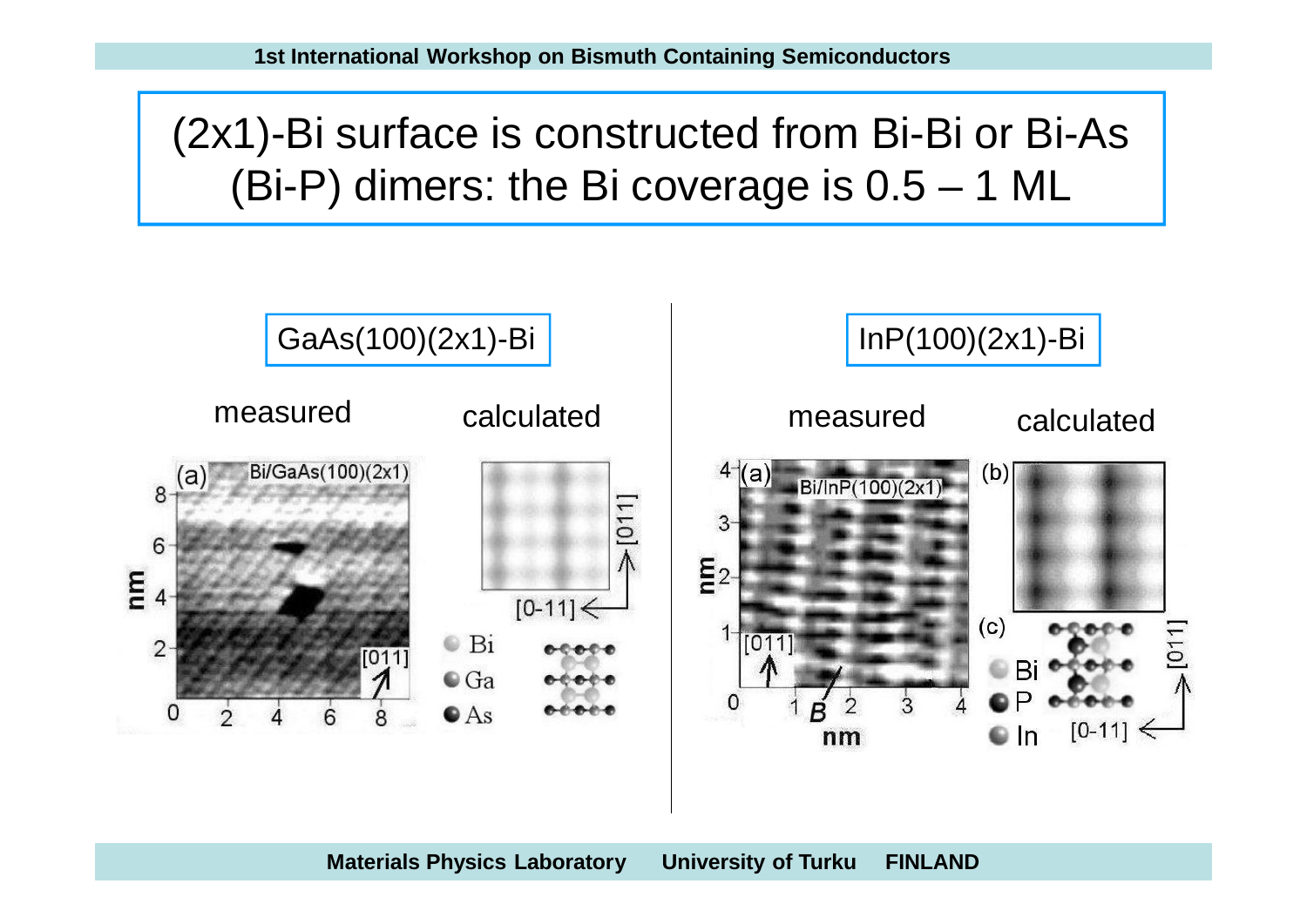(2x1)-Bi surface is constructed from Bi-Bi or Bi-As (Bi-P) dimers: the Bi coverage is 0.5 – 1 ML

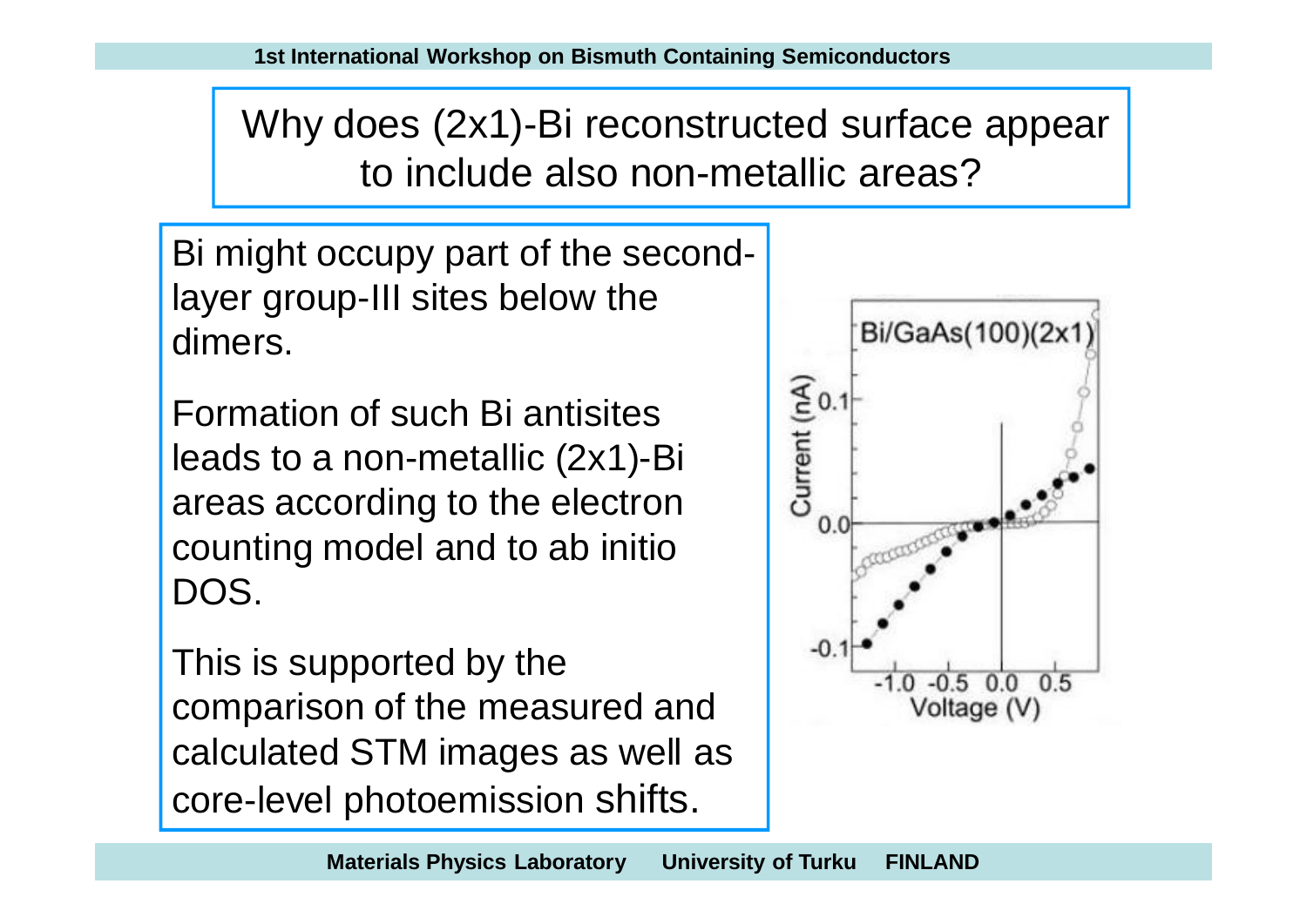Why does (2x1)-Bi reconstructed surface appear to include also non-metallic areas?

Bi might occupy part of the secondlayer group-III sites below the dimers.

Formation of such Bi antisites leads to a non-metallic (2x1)-Bi areas according to the electron counting model and to ab initio DOS.

This is supported by the comparison of the measured and calculated STM images as well as core-level photoemission shifts.

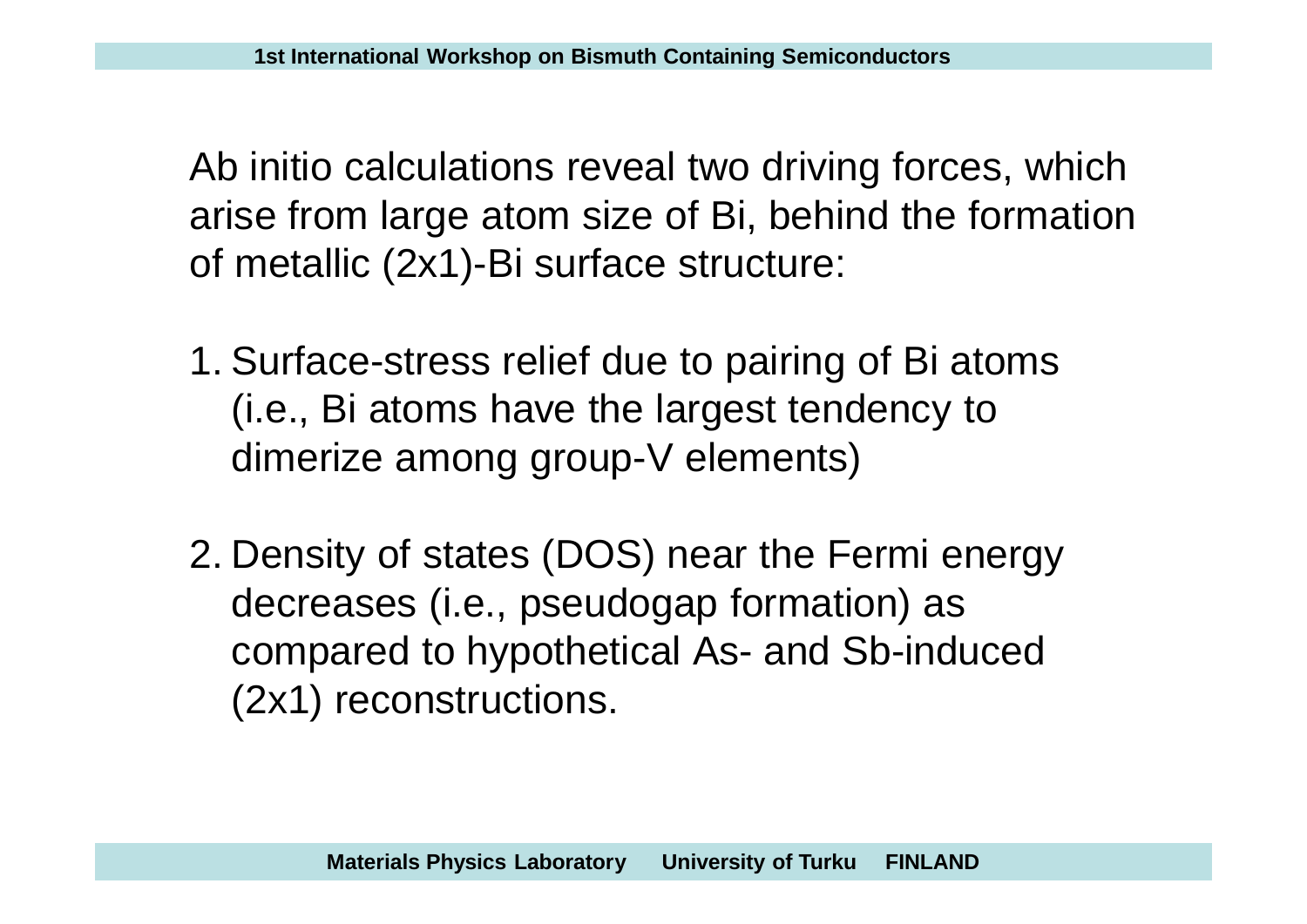Ab initio calculations reveal two driving forces, which arise from large atom size of Bi, behind the formation of metallic (2x1)-Bi surface structure:

- 1. Surface-stress relief due to pairing of Bi atoms (i.e., Bi atoms have the largest tendency to dimerize among group-V elements)
- 2. Density of states (DOS) near the Fermi energy decreases (i.e., pseudogap formation) as compared to hypothetical As- and Sb-induced (2x1) reconstructions.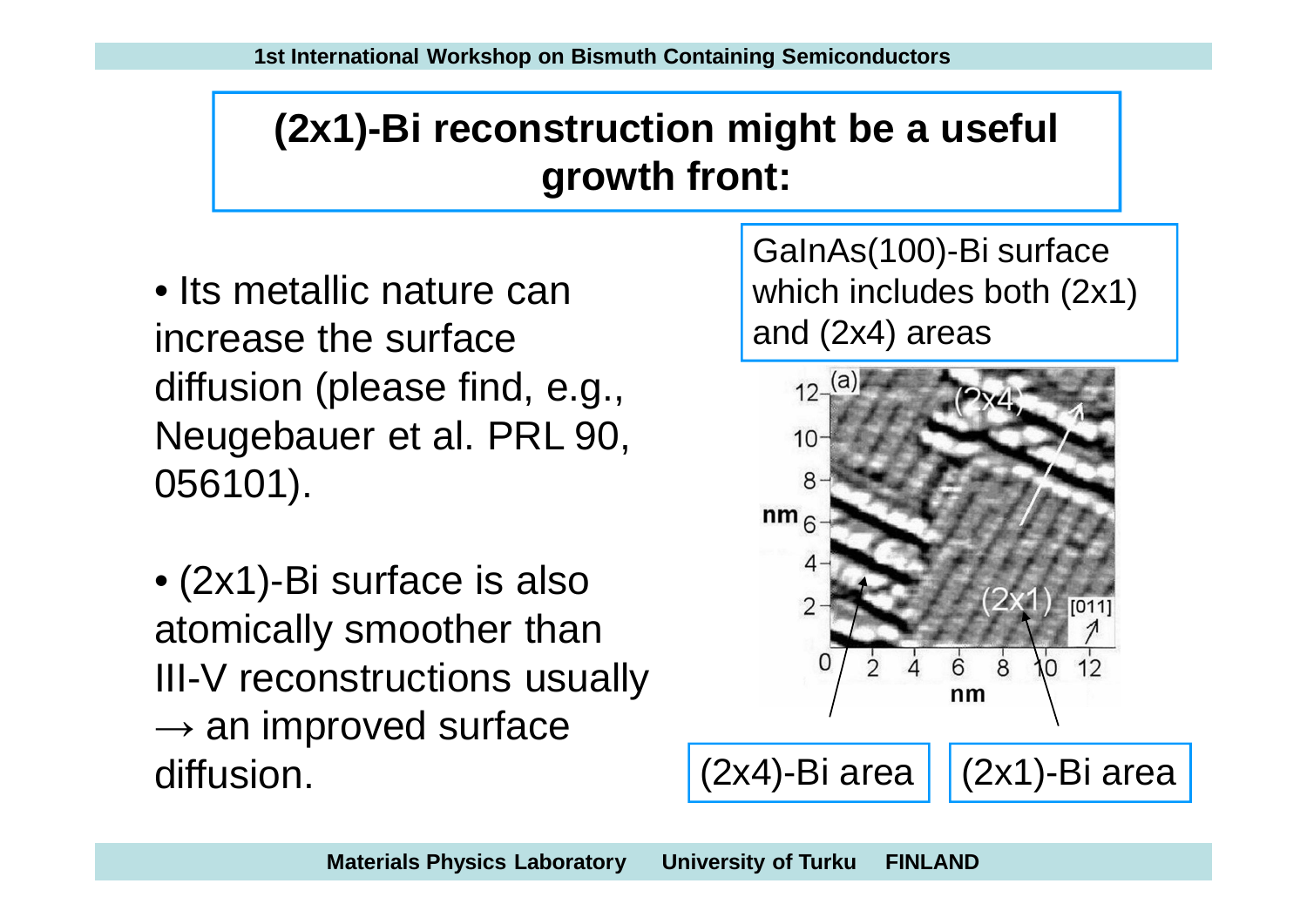# **(2x1)-Bi reconstruction might be a useful growth front:**

- Its metallic nature can increase the surface diffusion (please find, e.g., Neugebauer et al. PRL 90, 056101).
- (2x1)-Bi surface is also atomically smoother than III-V reconstructions usually  $\rightarrow$  an improved surface diffusion.  $(2x4)$ -Bi area  $(2x1)$ -Bi area

GaInAs(100)-Bi surface which includes both (2x1) and (2x4) areas

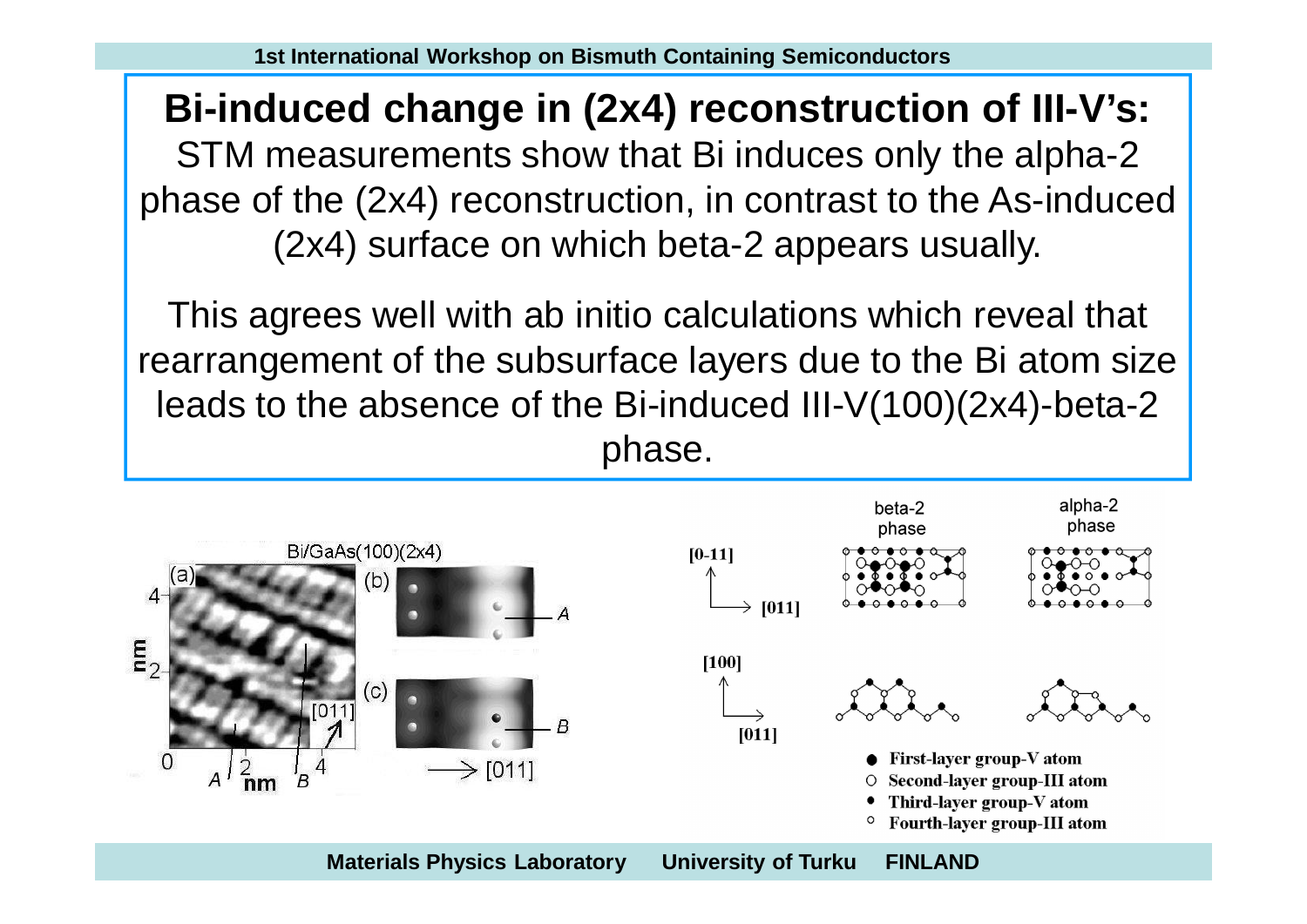**Bi-induced change in (2x4) reconstruction of III-V's:** STM measurements show that Bi induces only the alpha-2 phase of the (2x4) reconstruction, in contrast to the As-induced (2x4) surface on which beta-2 appears usually.

This agrees well with ab initio calculations which reveal that rearrangement of the subsurface layers due to the Bi atom size leads to the absence of the Bi-induced III-V(100)(2x4)-beta-2 phase.

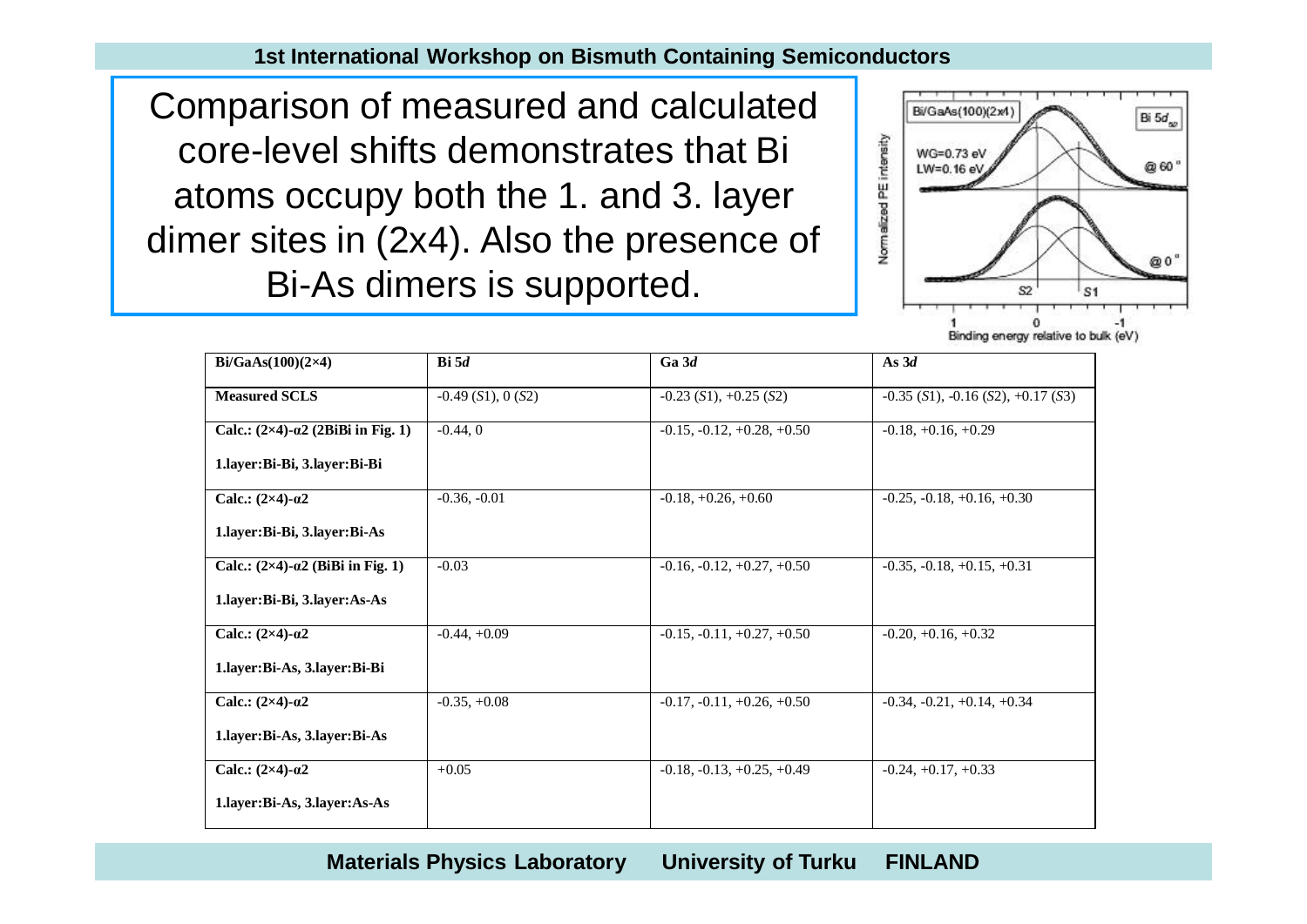Comparison of measured and calculated core-level shifts demonstrates that Bi atoms occupy both the 1. and 3. layer dimer sites in (2x4). Also the presence of Bi-As dimers is supported.



| $Bi/GaAs(100)(2\times4)$                           | $\mathbf{Bi}$ 5d   | Ga3d                         | As $3d$                                  |
|----------------------------------------------------|--------------------|------------------------------|------------------------------------------|
| <b>Measured SCLS</b>                               | $-0.49(S1), 0(S2)$ | $-0.23$ (S1), $+0.25$ (S2)   | $-0.35$ (S1), $-0.16$ (S2), $+0.17$ (S3) |
| Calc.: $(2\times4)$ - $\alpha$ 2 (2BiBi in Fig. 1) | $-0.44, 0$         | $-0.15, -0.12, +0.28, +0.50$ | $-0.18, +0.16, +0.29$                    |
| 1.layer:Bi-Bi, 3.layer:Bi-Bi                       |                    |                              |                                          |
| Calc.: $(2\times4)$ - $\alpha2$                    | $-0.36, -0.01$     | $-0.18, +0.26, +0.60$        | $-0.25, -0.18, +0.16, +0.30$             |
| 1.layer:Bi-Bi, 3.layer:Bi-As                       |                    |                              |                                          |
| Calc.: $(2\times4)$ - $\alpha$ 2 (BiBi in Fig. 1)  | $-0.03$            | $-0.16, -0.12, +0.27, +0.50$ | $-0.35, -0.18, +0.15, +0.31$             |
| 1.layer:Bi-Bi, 3.layer:As-As                       |                    |                              |                                          |
| Calc.: $(2\times4)$ - $\alpha$ 2                   | $-0.44, +0.09$     | $-0.15, -0.11, +0.27, +0.50$ | $-0.20, +0.16, +0.32$                    |
| 1.layer:Bi-As, 3.layer:Bi-Bi                       |                    |                              |                                          |
| Calc.: $(2\times4)$ - $\alpha2$                    | $-0.35, +0.08$     | $-0.17, -0.11, +0.26, +0.50$ | $-0.34, -0.21, +0.14, +0.34$             |
| 1.layer:Bi-As, 3.layer:Bi-As                       |                    |                              |                                          |
| Calc.: $(2\times4)$ - $\alpha2$                    | $+0.05$            | $-0.18, -0.13, +0.25, +0.49$ | $-0.24, +0.17, +0.33$                    |
| 1.layer:Bi-As, 3.layer:As-As                       |                    |                              |                                          |

**Materials Physics Laboratory University of Turku FINLAND**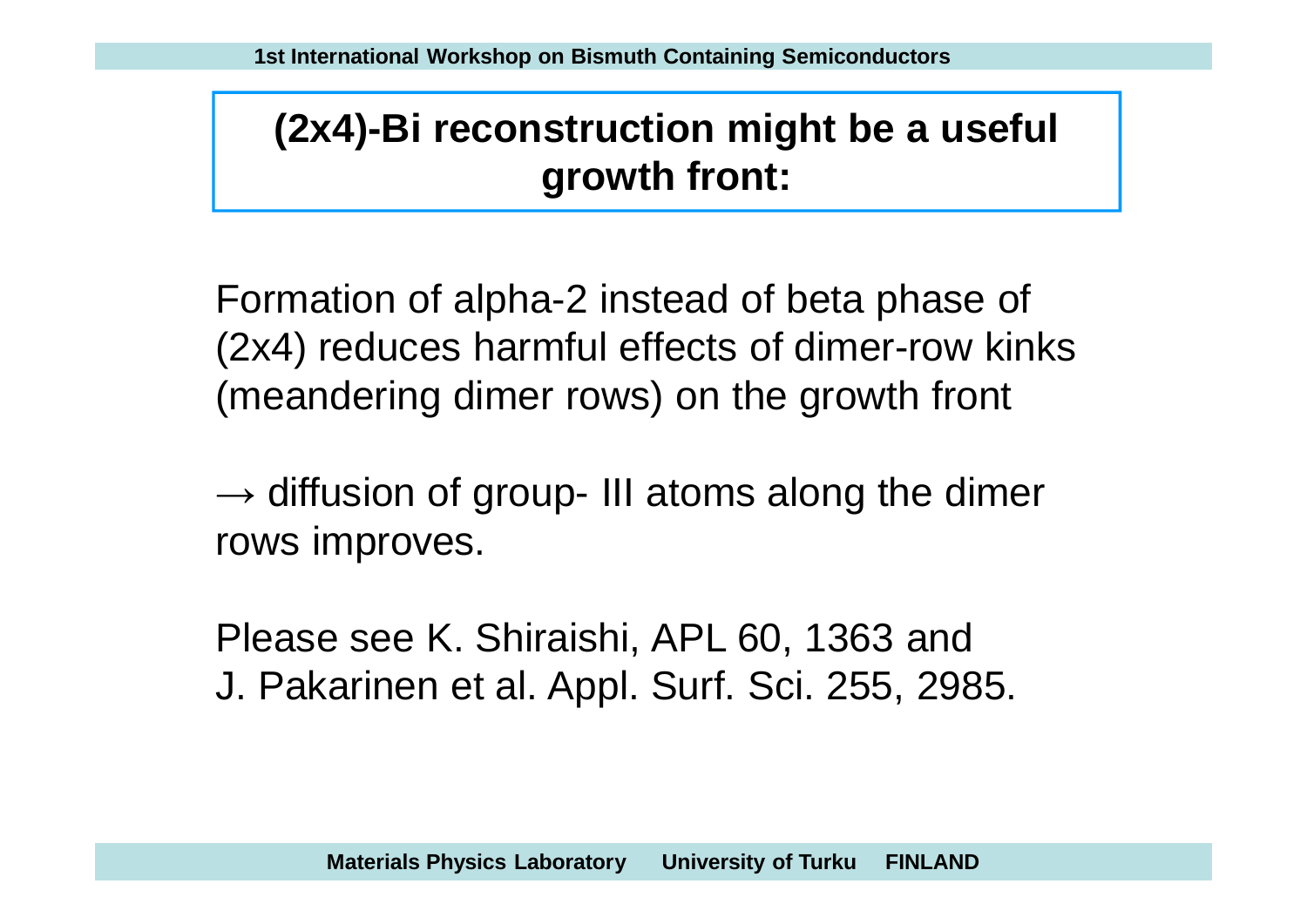# **(2x4)-Bi reconstruction might be a useful growth front:**

Formation of alpha-2 instead of beta phase of (2x4) reduces harmful effects of dimer-row kinks (meandering dimer rows) on the growth front

 $\rightarrow$  diffusion of group- III atoms along the dimer rows improves.

Please see K. Shiraishi, APL 60, 1363 and J. Pakarinen et al. Appl. Surf. Sci. 255, 2985.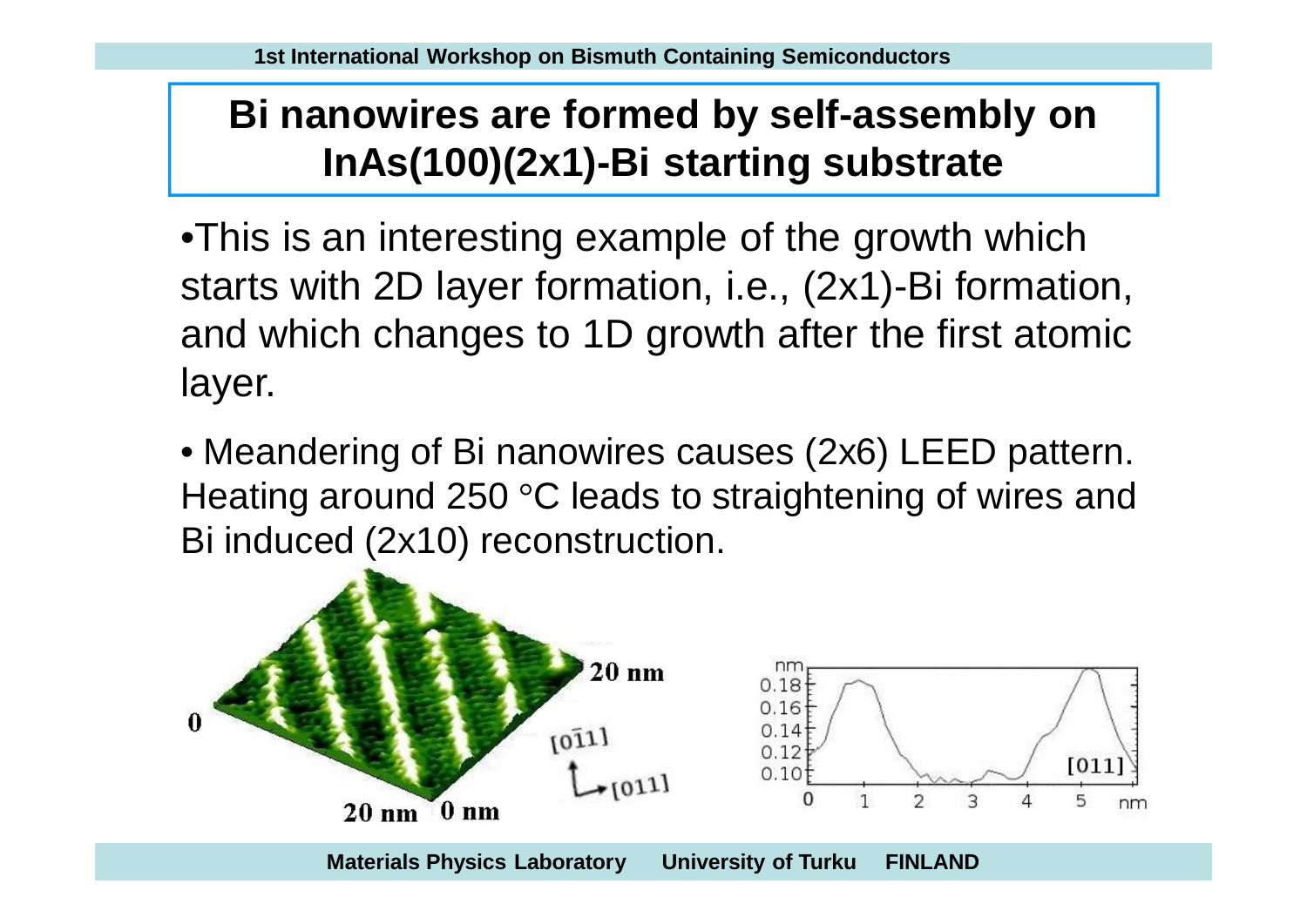# **Bi nanowires are formed by self-assembly on InAs(100)(2x1)-Bi starting substrate**

•This is an interesting example of the growth which starts with 2D layer formation, i.e., (2x1)-Bi formation, and which changes to 1D growth after the first atomic layer.

• Meandering of Bi nanowires causes (2x6) LEED pattern. Heating around 250 °C leads to straightening of wires and Bi induced (2x10) reconstruction.

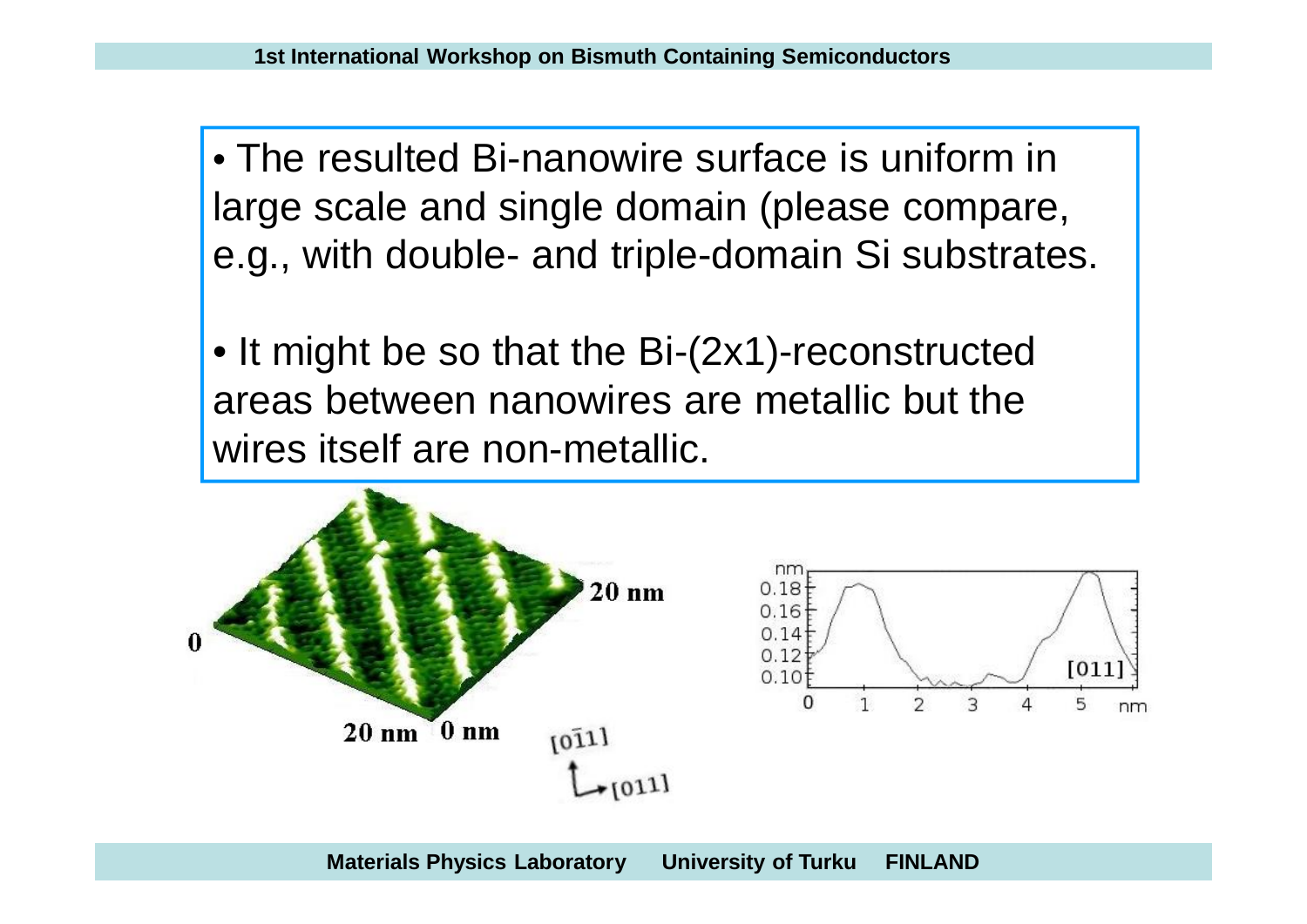• The resulted Bi-nanowire surface is uniform in large scale and single domain (please compare, e.g., with double- and triple-domain Si substrates.

• It might be so that the Bi-(2x1)-reconstructed areas between nanowires are metallic but the wires itself are non-metallic.

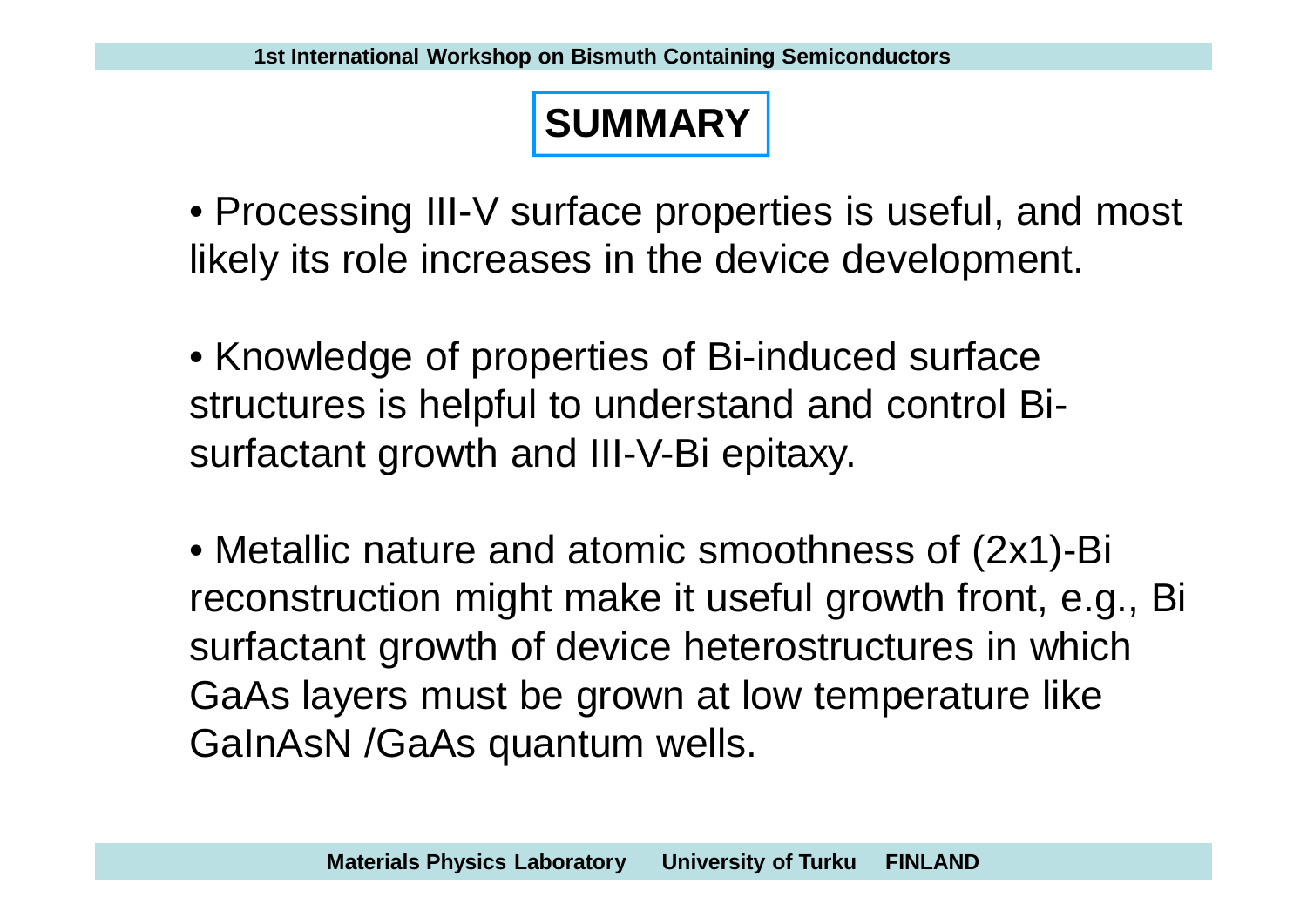### **SUMMARY**

• Processing III-V surface properties is useful, and most likely its role increases in the device development.

• Knowledge of properties of Bi-induced surface structures is helpful to understand and control Bisurfactant growth and III-V-Bi epitaxy.

• Metallic nature and atomic smoothness of (2x1)-Bi reconstruction might make it useful growth front, e.g., Bi surfactant growth of device heterostructures in which GaAs layers must be grown at low temperature like GaInAsN /GaAs quantum wells.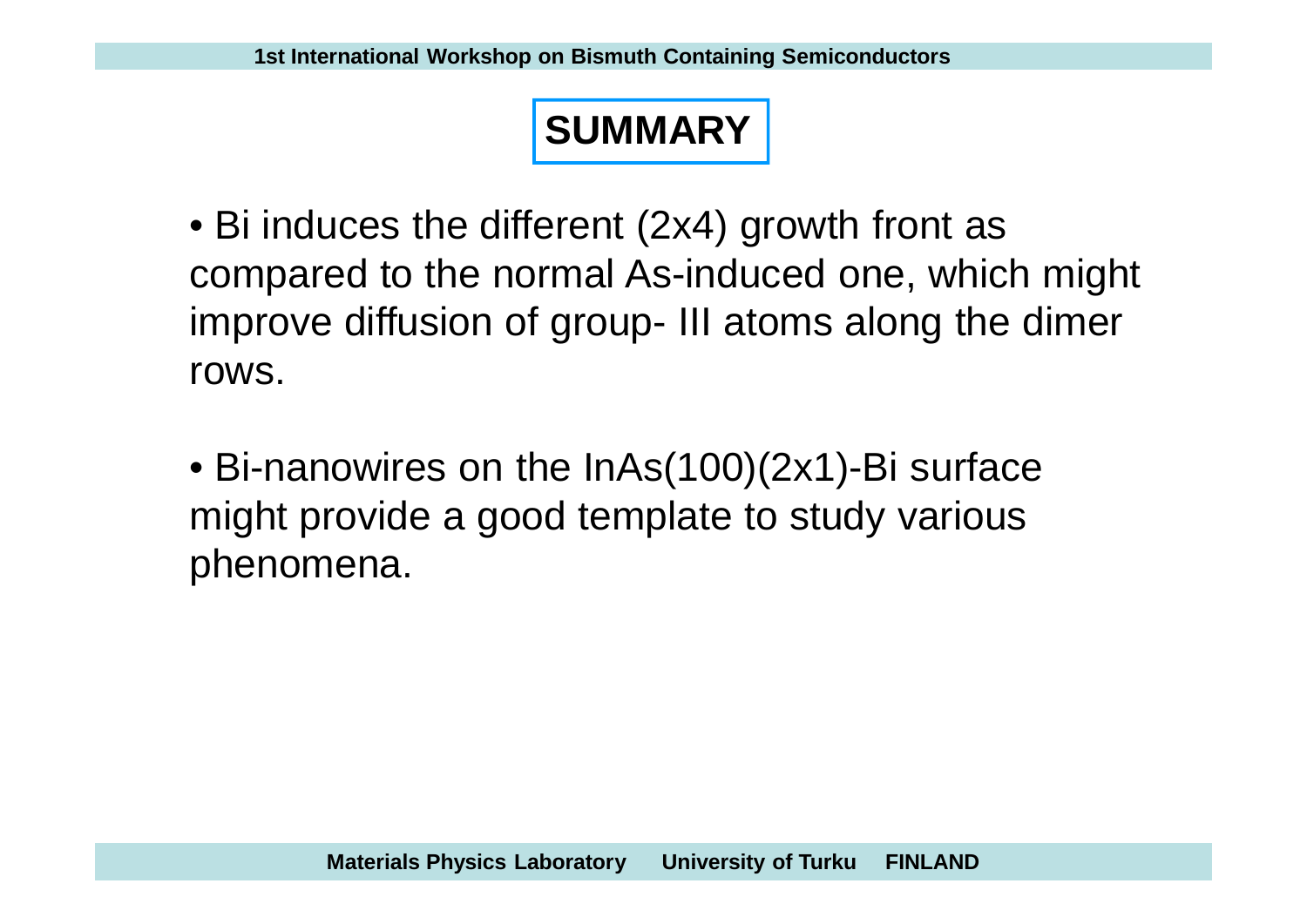# **SUMMARY**

• Bi induces the different (2x4) growth front as compared to the normal As-induced one, which might improve diffusion of group- III atoms along the dimer rows.

• Bi-nanowires on the InAs(100)(2x1)-Bi surface might provide a good template to study various phenomena.